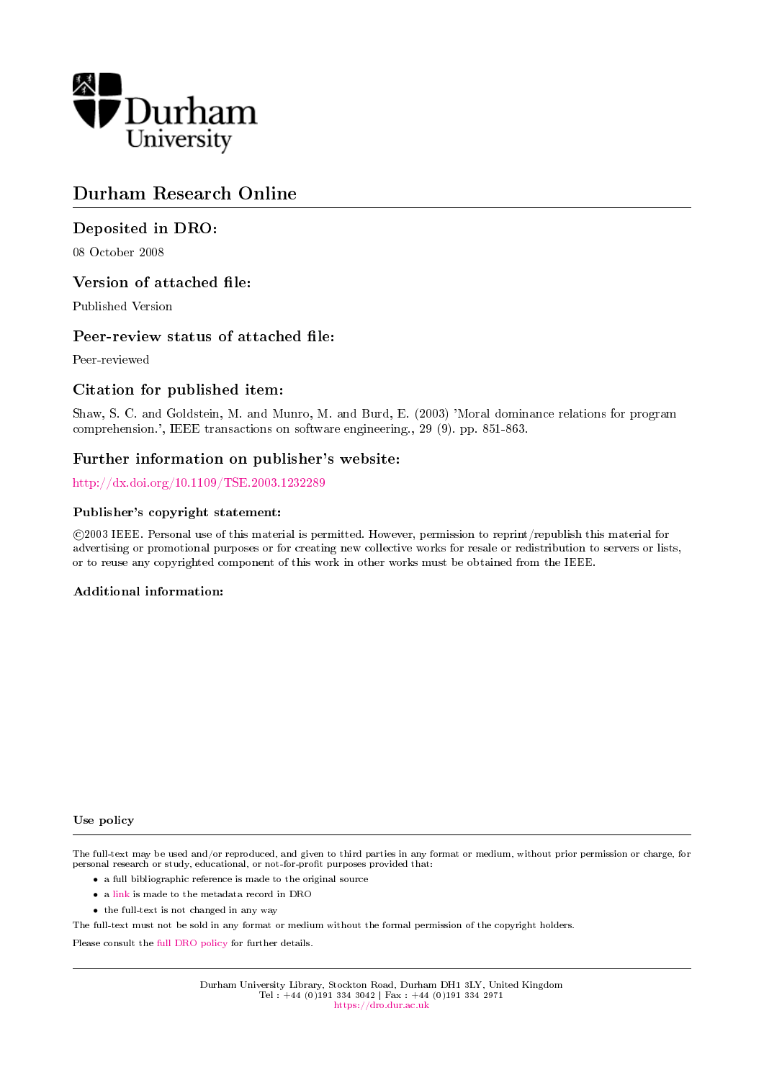

# Durham Research Online

# Deposited in DRO:

08 October 2008

# Version of attached file:

Published Version

# Peer-review status of attached file:

Peer-reviewed

# Citation for published item:

Shaw, S. C. and Goldstein, M. and Munro, M. and Burd, E. (2003) 'Moral dominance relations for program comprehension.', IEEE transactions on software engineering., 29 (9). pp. 851-863.

# Further information on publisher's website:

<http://dx.doi.org/10.1109/TSE.2003.1232289>

# Publisher's copyright statement:

 c 2003 IEEE. Personal use of this material is permitted. However, permission to reprint/republish this material for advertising or promotional purposes or for creating new collective works for resale or redistribution to servers or lists, or to reuse any copyrighted component of this work in other works must be obtained from the IEEE.

# Additional information:

## Use policy

The full-text may be used and/or reproduced, and given to third parties in any format or medium, without prior permission or charge, for personal research or study, educational, or not-for-profit purposes provided that:

- a full bibliographic reference is made to the original source
- a [link](http://dro.dur.ac.uk/1915/) is made to the metadata record in DRO
- the full-text is not changed in any way

The full-text must not be sold in any format or medium without the formal permission of the copyright holders.

Please consult the [full DRO policy](https://dro.dur.ac.uk/policies/usepolicy.pdf) for further details.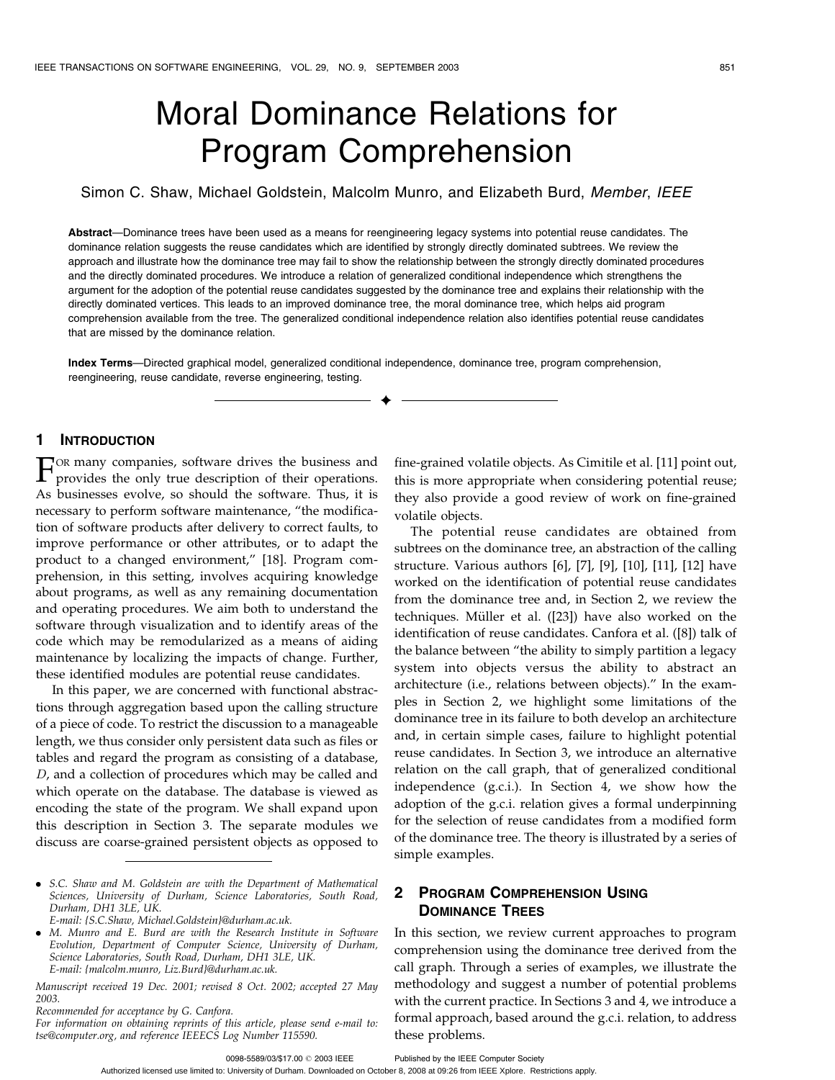# Moral Dominance Relations for Program Comprehension

Simon C. Shaw, Michael Goldstein, Malcolm Munro, and Elizabeth Burd, Member, IEEE

Abstract—Dominance trees have been used as a means for reengineering legacy systems into potential reuse candidates. The dominance relation suggests the reuse candidates which are identified by strongly directly dominated subtrees. We review the approach and illustrate how the dominance tree may fail to show the relationship between the strongly directly dominated procedures and the directly dominated procedures. We introduce a relation of generalized conditional independence which strengthens the argument for the adoption of the potential reuse candidates suggested by the dominance tree and explains their relationship with the directly dominated vertices. This leads to an improved dominance tree, the moral dominance tree, which helps aid program comprehension available from the tree. The generalized conditional independence relation also identifies potential reuse candidates that are missed by the dominance relation.

 $\ddotmark$ 

Index Terms—Directed graphical model, generalized conditional independence, dominance tree, program comprehension, reengineering, reuse candidate, reverse engineering, testing.

#### 1 INTRODUCTION

FOR many companies, software drives the business and provides the only true description of their operations. As businesses evolve, so should the software. Thus, it is necessary to perform software maintenance, "the modification of software products after delivery to correct faults, to improve performance or other attributes, or to adapt the product to a changed environment," [18]. Program comprehension, in this setting, involves acquiring knowledge about programs, as well as any remaining documentation and operating procedures. We aim both to understand the software through visualization and to identify areas of the code which may be remodularized as a means of aiding maintenance by localizing the impacts of change. Further, these identified modules are potential reuse candidates.

In this paper, we are concerned with functional abstractions through aggregation based upon the calling structure of a piece of code. To restrict the discussion to a manageable length, we thus consider only persistent data such as files or tables and regard the program as consisting of a database, D, and a collection of procedures which may be called and which operate on the database. The database is viewed as encoding the state of the program. We shall expand upon this description in Section 3. The separate modules we discuss are coarse-grained persistent objects as opposed to

- . S.C. Shaw and M. Goldstein are with the Department of Mathematical Sciences, University of Durham, Science Laboratories, South Road, Durham, DH1 3LE, UK.
	- E-mail: {S.C.Shaw, Michael.Goldstein}@durham.ac.uk.
- . M. Munro and E. Burd are with the Research Institute in Software Evolution, Department of Computer Science, University of Durham, Science Laboratories, South Road, Durham, DH1 3LE, UK. E-mail: {malcolm.munro, Liz.Burd}@durham.ac.uk.
- Manuscript received 19 Dec. 2001; revised 8 Oct. 2002; accepted 27 May 2003.
- Recommended for acceptance by G. Canfora.

For information on obtaining reprints of this article, please send e-mail to: tse@computer.org, and reference IEEECS Log Number 115590.

fine-grained volatile objects. As Cimitile et al. [11] point out, this is more appropriate when considering potential reuse; they also provide a good review of work on fine-grained volatile objects.

The potential reuse candidates are obtained from subtrees on the dominance tree, an abstraction of the calling structure. Various authors [6], [7], [9], [10], [11], [12] have worked on the identification of potential reuse candidates from the dominance tree and, in Section 2, we review the techniques. Müller et al. ([23]) have also worked on the identification of reuse candidates. Canfora et al. ([8]) talk of the balance between "the ability to simply partition a legacy system into objects versus the ability to abstract an architecture (i.e., relations between objects)." In the examples in Section 2, we highlight some limitations of the dominance tree in its failure to both develop an architecture and, in certain simple cases, failure to highlight potential reuse candidates. In Section 3, we introduce an alternative relation on the call graph, that of generalized conditional independence (g.c.i.). In Section 4, we show how the adoption of the g.c.i. relation gives a formal underpinning for the selection of reuse candidates from a modified form of the dominance tree. The theory is illustrated by a series of simple examples.

# 2 PROGRAM COMPREHENSION USING DOMINANCE TREES

In this section, we review current approaches to program comprehension using the dominance tree derived from the call graph. Through a series of examples, we illustrate the methodology and suggest a number of potential problems with the current practice. In Sections 3 and 4, we introduce a formal approach, based around the g.c.i. relation, to address these problems.

<sup>0098-5589/03/\$17.00 © 2003</sup> IEEE Published by the IEEE Computer Society Authorized licensed use limited to: University of Durham. Downloaded on October 8, 2008 at 09:26 from IEEE Xplore. Restrictions apply.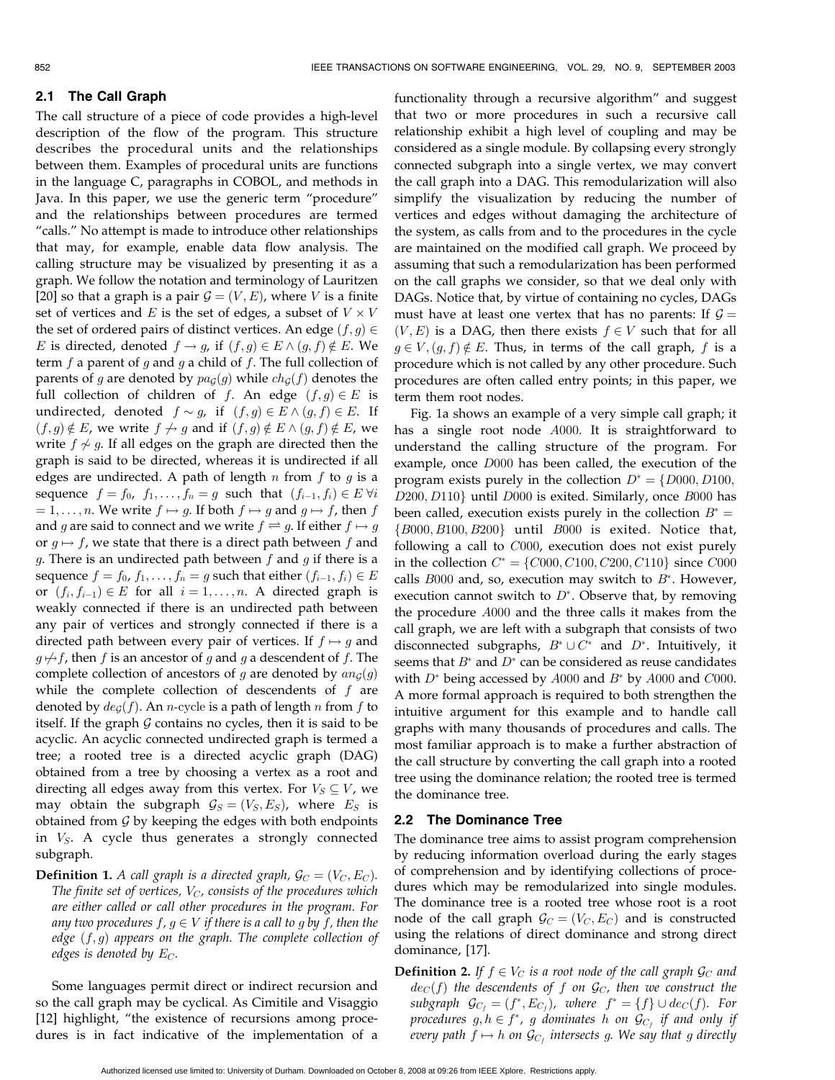## 2.1 The Call Graph

The call structure of a piece of code provides a high-level description of the flow of the program. This structure describes the procedural units and the relationships between them. Examples of procedural units are functions in the language C, paragraphs in COBOL, and methods in Java. In this paper, we use the generic term "procedure" and the relationships between procedures are termed "calls." No attempt is made to introduce other relationships that may, for example, enable data flow analysis. The calling structure may be visualized by presenting it as a graph. We follow the notation and terminology of Lauritzen [20] so that a graph is a pair  $G = (V, E)$ , where V is a finite set of vertices and E is the set of edges, a subset of  $V \times V$ the set of ordered pairs of distinct vertices. An edge  $(f, g) \in$ E is directed, denoted  $f \rightarrow g$ , if  $(f,g) \in E \wedge (g, f) \notin E$ . We term  $f$  a parent of  $g$  and  $g$  a child of  $f$ . The full collection of parents of g are denoted by  $pa_G(g)$  while  $ch_G(f)$  denotes the full collection of children of f. An edge  $(f,g) \in E$  is undirected, denoted  $f \sim g$ , if  $(f,g) \in E \wedge (g,f) \in E$ . If  $(f,g)\notin E$ , we write  $f \nrightarrow g$  and if  $(f,g)\notin E \wedge (g,f)\notin E$ , we write  $f\not\sim g$ . If all edges on the graph are directed then the graph is said to be directed, whereas it is undirected if all edges are undirected. A path of length  $n$  from  $f$  to  $g$  is a sequence  $f = f_0, f_1, \ldots, f_n = g$  such that  $(f_{i-1}, f_i) \in E \forall i$  $i = 1, \ldots, n$ . We write  $f \mapsto g$ . If both  $f \mapsto g$  and  $g \mapsto f$ , then f and *g* are said to connect and we write  $f \rightleftharpoons g$ . If either  $f \mapsto g$ or  $g \mapsto f$ , we state that there is a direct path between f and g. There is an undirected path between  $f$  and  $g$  if there is a sequence  $f = f_0, f_1, \ldots, f_n = g$  such that either  $(f_{i-1}, f_i) \in E$ or  $(f_i, f_{i-1}) \in E$  for all  $i = 1, ..., n$ . A directed graph is weakly connected if there is an undirected path between any pair of vertices and strongly connected if there is a directed path between every pair of vertices. If  $f \mapsto g$  and  $g \nleftrightarrow f$ , then f is an ancestor of g and g a descendent of f. The complete collection of ancestors of g are denoted by  $a n_g(g)$ while the complete collection of descendents of  $f$  are denoted by  $de_G(f)$ . An *n*-cycle is a path of length *n* from *f* to itself. If the graph  $G$  contains no cycles, then it is said to be acyclic. An acyclic connected undirected graph is termed a tree; a rooted tree is a directed acyclic graph (DAG) obtained from a tree by choosing a vertex as a root and directing all edges away from this vertex. For  $V_S \subseteq V$ , we may obtain the subgraph  $\mathcal{G}_S = (V_S, E_S)$ , where  $E_S$  is obtained from  $G$  by keeping the edges with both endpoints in  $V<sub>S</sub>$ . A cycle thus generates a strongly connected subgraph.

**Definition 1.** A call graph is a directed graph,  $\mathcal{G}_C = (V_C, E_C)$ . The finite set of vertices,  $V_C$ , consists of the procedures which are either called or call other procedures in the program. For any two procedures  $f, g \in V$  if there is a call to g by f, then the edge  $(f,g)$  appears on the graph. The complete collection of edges is denoted by  $E_C$ .

Some languages permit direct or indirect recursion and so the call graph may be cyclical. As Cimitile and Visaggio [12] highlight, "the existence of recursions among procedures is in fact indicative of the implementation of a

functionality through a recursive algorithm" and suggest that two or more procedures in such a recursive call relationship exhibit a high level of coupling and may be considered as a single module. By collapsing every strongly connected subgraph into a single vertex, we may convert the call graph into a DAG. This remodularization will also simplify the visualization by reducing the number of vertices and edges without damaging the architecture of the system, as calls from and to the procedures in the cycle are maintained on the modified call graph. We proceed by assuming that such a remodularization has been performed on the call graphs we consider, so that we deal only with DAGs. Notice that, by virtue of containing no cycles, DAGs must have at least one vertex that has no parents: If  $G =$  $(V, E)$  is a DAG, then there exists  $f \in V$  such that for all  $g \in V$ ,  $(g, f) \notin E$ . Thus, in terms of the call graph, f is a procedure which is not called by any other procedure. Such procedures are often called entry points; in this paper, we term them root nodes.

Fig. 1a shows an example of a very simple call graph; it has a single root node A000. It is straightforward to understand the calling structure of the program. For example, once D000 has been called, the execution of the program exists purely in the collection  $D^* = \{D000, D100,$  $D200, D110$ } until  $D000$  is exited. Similarly, once  $B000$  has been called, execution exists purely in the collection  $B^* = \emptyset$  $\{B000, B100, B200\}$  until  $B000$  is exited. Notice that, following a call to C000, execution does not exist purely in the collection  $C^* = \{C000, C100, C200, C110\}$  since  $C000$ calls  $B000$  and, so, execution may switch to  $B^*$ . However, execution cannot switch to  $D^*$ . Observe that, by removing the procedure A000 and the three calls it makes from the call graph, we are left with a subgraph that consists of two disconnected subgraphs,  $B^* \cup C^*$  and  $D^*$ . Intuitively, it seems that  $B^*$  and  $D^*$  can be considered as reuse candidates with  $D^*$  being accessed by  $A000$  and  $B^*$  by  $A000$  and  $C000$ . A more formal approach is required to both strengthen the intuitive argument for this example and to handle call graphs with many thousands of procedures and calls. The most familiar approach is to make a further abstraction of the call structure by converting the call graph into a rooted tree using the dominance relation; the rooted tree is termed the dominance tree.

### 2.2 The Dominance Tree

The dominance tree aims to assist program comprehension by reducing information overload during the early stages of comprehension and by identifying collections of procedures which may be remodularized into single modules. The dominance tree is a rooted tree whose root is a root node of the call graph  $\mathcal{G}_C = (V_C, E_C)$  and is constructed using the relations of direct dominance and strong direct dominance, [17].

**Definition 2.** If  $f \in V_C$  is a root node of the call graph  $\mathcal{G}_C$  and  $dec(f)$  the descendents of f on  $\mathcal{G}_C$ , then we construct the subgraph  $\mathcal{G}_{C_f} = (f^*, E_{C_f})$ , where  $f^* = \{f\} \cup de_C(f)$ . For procedures  $g, h \in f^*$ , g dominates h on  $\mathcal{G}_{C_f}$  if and only if every path  $f \mapsto h$  on  $\mathcal{G}_{C_f}$  intersects g. We say that g directly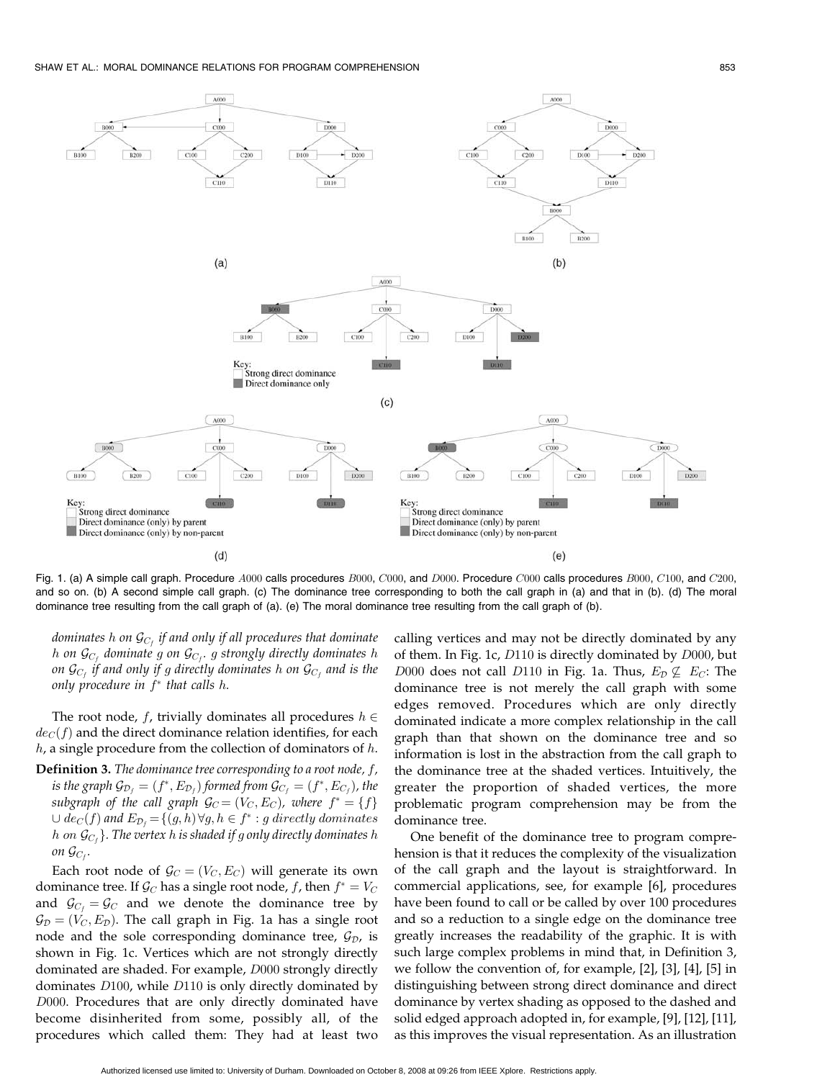#### SHAW ET AL.: MORAL DOMINANCE RELATIONS FOR PROGRAM COMPREHENSION 853



Fig. 1. (a) A simple call graph. Procedure A000 calls procedures B000, C000, and D000. Procedure C000 calls procedures B000, C100, and C200, and so on. (b) A second simple call graph. (c) The dominance tree corresponding to both the call graph in (a) and that in (b). (d) The moral dominance tree resulting from the call graph of (a). (e) The moral dominance tree resulting from the call graph of (b).

dominates h on  $\mathcal{G}_{C_f}$  if and only if all procedures that dominate h on  $\mathcal{G}_{C_f}$  dominate g on  $\mathcal{G}_{C_f}$ . g strongly directly dominates h on  $\mathcal{G}_{C_f}$  if and only if g directly dominates h on  $\mathcal{G}_{C_f}$  and is the only procedure in  $f^*$  that calls h.

The root node, f, trivially dominates all procedures  $h \in$  $dec(f)$  and the direct dominance relation identifies, for each  $h$ , a single procedure from the collection of dominators of  $h$ .

**Definition 3.** The dominance tree corresponding to a root node, f, is the graph  $\mathcal{G}_{\mathcal{D}_f} = (f^*, E_{\mathcal{D}_f})$  formed from  $\mathcal{G}_{C_f} = (f^*, E_{C_f})$ , the subgraph of the call graph  $\mathcal{G}_C = (V_C, E_C)$ , where  $f^* = \{f\}$  $\cup$  de<sub>C</sub> $(f)$  and  $E_{\mathcal{D}_f} = \{(g, h) \forall g, h \in f^* : g \text{ directly dominates}\}$ h on  $\mathcal{G}_{C_f}$ . The vertex h is shaded if g only directly dominates h on  $\mathcal{G}_{C_f}$ .

Each root node of  $\mathcal{G}_C = (V_C, E_C)$  will generate its own dominance tree. If  $\mathcal{G}_C$  has a single root node, f, then  $f^* = V_C$ and  $\mathcal{G}_{C_f} = \mathcal{G}_C$  and we denote the dominance tree by  $\mathcal{G}_{\mathcal{D}} = (V_C, E_{\mathcal{D}})$ . The call graph in Fig. 1a has a single root node and the sole corresponding dominance tree,  $G_{D}$ , is shown in Fig. 1c. Vertices which are not strongly directly dominated are shaded. For example, D000 strongly directly dominates D100, while D110 is only directly dominated by D000. Procedures that are only directly dominated have become disinherited from some, possibly all, of the procedures which called them: They had at least two calling vertices and may not be directly dominated by any of them. In Fig. 1c, D110 is directly dominated by D000, but D000 does not call D110 in Fig. 1a. Thus,  $E_{\mathcal{D}} \nsubseteq E_C$ : The dominance tree is not merely the call graph with some edges removed. Procedures which are only directly dominated indicate a more complex relationship in the call graph than that shown on the dominance tree and so information is lost in the abstraction from the call graph to the dominance tree at the shaded vertices. Intuitively, the greater the proportion of shaded vertices, the more problematic program comprehension may be from the dominance tree.

One benefit of the dominance tree to program comprehension is that it reduces the complexity of the visualization of the call graph and the layout is straightforward. In commercial applications, see, for example [6], procedures have been found to call or be called by over 100 procedures and so a reduction to a single edge on the dominance tree greatly increases the readability of the graphic. It is with such large complex problems in mind that, in Definition 3, we follow the convention of, for example, [2], [3], [4], [5] in distinguishing between strong direct dominance and direct dominance by vertex shading as opposed to the dashed and solid edged approach adopted in, for example, [9], [12], [11], as this improves the visual representation. As an illustration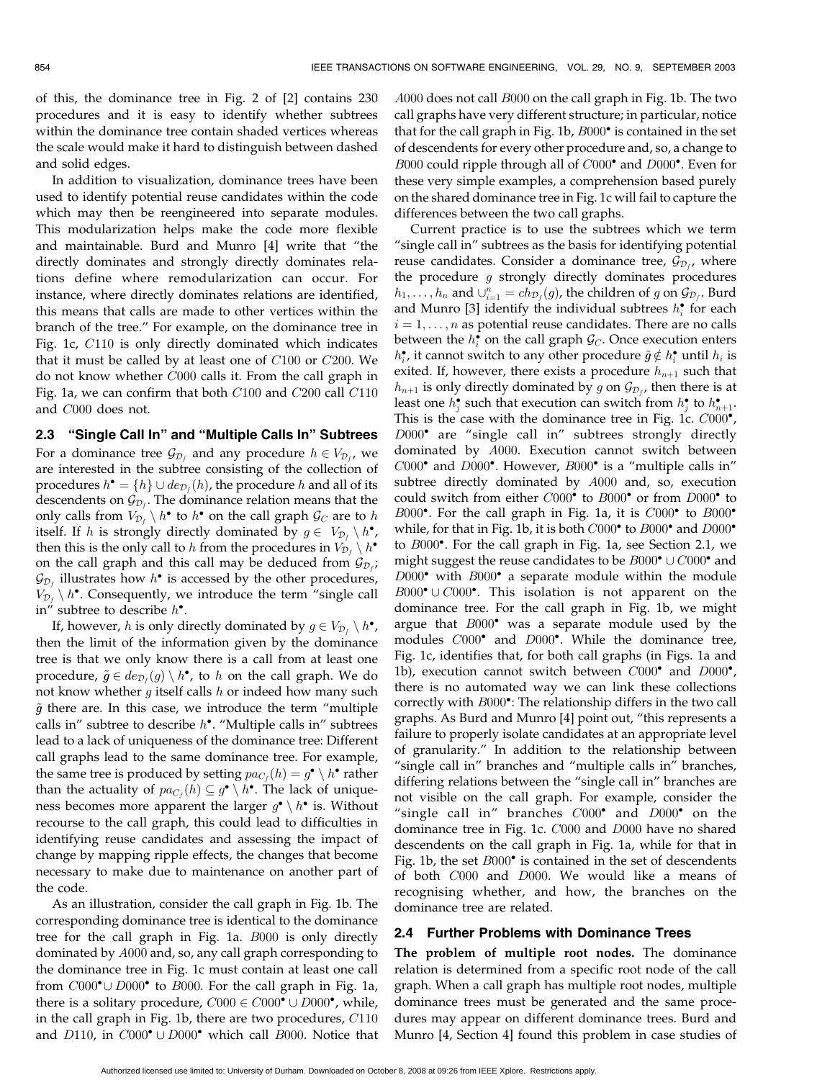of this, the dominance tree in Fig. 2 of [2] contains 230 procedures and it is easy to identify whether subtrees within the dominance tree contain shaded vertices whereas the scale would make it hard to distinguish between dashed and solid edges.

In addition to visualization, dominance trees have been used to identify potential reuse candidates within the code which may then be reengineered into separate modules. This modularization helps make the code more flexible and maintainable. Burd and Munro [4] write that "the directly dominates and strongly directly dominates relations define where remodularization can occur. For instance, where directly dominates relations are identified, this means that calls are made to other vertices within the branch of the tree." For example, on the dominance tree in Fig. 1c, C110 is only directly dominated which indicates that it must be called by at least one of  $C100$  or  $C200$ . We do not know whether C000 calls it. From the call graph in Fig. 1a, we can confirm that both  $C100$  and  $C200$  call  $C110$ and C000 does not.

#### 2.3 "Single Call In" and "Multiple Calls In" Subtrees

For a dominance tree  $\mathcal{G}_{\mathcal{D}_f}$  and any procedure  $h \in V_{\mathcal{D}_f}$ , we are interested in the subtree consisting of the collection of procedures  $h^{\bullet} = \{h\} \cup de_{\mathcal{D}_{f}}(h)$ , the procedure h and all of its descendents on  $\mathcal{G}_{\mathcal{D}_f}$ . The dominance relation means that the only calls from  $V_{\mathcal{D}_f} \setminus h^{\bullet}$  to  $h^{\bullet}$  on the call graph  $\mathcal{G}_C$  are to h itself. If h is strongly directly dominated by  $g \in V_{\mathcal{D}_f} \setminus h^{\bullet}$ , then this is the only call to h from the procedures in  $V_{\mathcal{D}_f} \setminus h^{\bullet}$ on the call graph and this call may be deduced from  $\mathcal{G}_{\mathcal{D}_f}$ ;  $\mathcal{G}_{\mathcal{D}_f}$  illustrates how  $h^{\bullet}$  is accessed by the other procedures,  $V_{\mathcal{D}_f} \setminus h^{\bullet}$ . Consequently, we introduce the term "single call in" subtree to describe  $h^{\bullet}$ .

If, however, h is only directly dominated by  $g \in V_{\mathcal{D}_f} \setminus h^{\bullet}$ , then the limit of the information given by the dominance tree is that we only know there is a call from at least one procedure,  $\tilde{g} \in de_{\mathcal{D}_f}(g) \setminus h^{\bullet}$ , to h on the call graph. We do not know whether  $g$  itself calls  $h$  or indeed how many such  $\tilde{g}$  there are. In this case, we introduce the term "multiple calls in" subtree to describe  $h^{\bullet}$ . "Multiple calls in" subtrees lead to a lack of uniqueness of the dominance tree: Different call graphs lead to the same dominance tree. For example, the same tree is produced by setting  $pa_{C_f}(h) = g^{\bullet} \setminus h^{\bullet}$  rather than the actuality of  $pa_{C_f}(h) \subseteq g^{\bullet} \setminus h^{\bullet}$ . The lack of uniqueness becomes more apparent the larger  $g^{\bullet} \setminus h^{\bullet}$  is. Without recourse to the call graph, this could lead to difficulties in identifying reuse candidates and assessing the impact of change by mapping ripple effects, the changes that become necessary to make due to maintenance on another part of the code.

As an illustration, consider the call graph in Fig. 1b. The corresponding dominance tree is identical to the dominance tree for the call graph in Fig. 1a. B000 is only directly dominated by A000 and, so, any call graph corresponding to the dominance tree in Fig. 1c must contain at least one call from  $C000^{\bullet} \cup D000^{\bullet}$  to  $B000$ . For the call graph in Fig. 1a, there is a solitary procedure,  $C000 \in C000^{\circ} \cup D000^{\circ}$ , while, in the call graph in Fig. 1b, there are two procedures, C110 and D110, in  $C000^{\bullet} \cup D000^{\bullet}$  which call B000. Notice that

A000 does not call B000 on the call graph in Fig. 1b. The two call graphs have very different structure; in particular, notice that for the call graph in Fig. 1b,  $B000^\bullet$  is contained in the set of descendents for every other procedure and, so, a change to  $B000$  could ripple through all of  $C000^{\circ}$  and  $D000^{\circ}$ . Even for these very simple examples, a comprehension based purely on the shared dominance tree in Fig. 1c will fail to capture the differences between the two call graphs.

Current practice is to use the subtrees which we term "single call in" subtrees as the basis for identifying potential reuse candidates. Consider a dominance tree,  $\mathcal{G}_{\mathcal{D}_{f}}$ , where the procedure  $g$  strongly directly dominates procedures  $h_1, \ldots, h_n$  and  $\bigcup_{i=1}^n = ch_{\mathcal{D}_f}(g)$ , the children of g on  $\mathcal{G}_{\mathcal{D}_f}$ . Burd and Munro [3] identify the individual subtrees  $h_i^{\bullet}$  for each  $i = 1, \ldots, n$  as potential reuse candidates. There are no calls between the  $h_i^{\bullet}$  on the call graph  $\mathcal{G}_C$ . Once execution enters  $h_i^{\bullet}$ , it cannot switch to any other procedure  $\tilde{g} \notin h_i^{\bullet}$  until  $h_i$  is exited. If, however, there exists a procedure  $h_{n+1}$  such that  $h_{n+1}$  is only directly dominated by g on  $\mathcal{G}_{\mathcal{D}_f}$ , then there is at least one  $h_j^{\bullet}$  such that execution can switch from  $h_j^{\bullet}$  to  $h_{n+1}^{\bullet}$ . This is the case with the dominance tree in Fig. 1c.  $C000^{\bullet}$ ,  $D000$ <sup> $\bullet$ </sup> are "single call in" subtrees strongly directly dominated by A000. Execution cannot switch between  $C000^{\bullet}$  and  $D000^{\bullet}$ . However,  $B000^{\bullet}$  is a "multiple calls in" subtree directly dominated by A000 and, so, execution could switch from either  $C000^{\circ}$  to  $B000^{\circ}$  or from  $D000^{\circ}$  to  $B000^\bullet$ . For the call graph in Fig. 1a, it is  $C000^\bullet$  to  $B000^\bullet$ while, for that in Fig. 1b, it is both  $C000^{\bullet}$  to  $B000^{\bullet}$  and  $D000^{\bullet}$ to *B*000<sup>•</sup>. For the call graph in Fig. 1a, see Section 2.1, we might suggest the reuse candidates to be  $B000^{\circ} \cup C000^{\circ}$  and  $D000$ <sup>•</sup> with  $B000$ <sup>•</sup> a separate module within the module  $B000^{\bullet} \cup C000^{\bullet}$ . This isolation is not apparent on the dominance tree. For the call graph in Fig. 1b, we might argue that  $B000$ <sup> $\bullet$ </sup> was a separate module used by the modules  $C000$ <sup> $\bullet$ </sup> and  $D000$ <sup> $\bullet$ </sup>. While the dominance tree, Fig. 1c, identifies that, for both call graphs (in Figs. 1a and 1b), execution cannot switch between  $C000^{\circ}$  and  $D000^{\circ}$ , there is no automated way we can link these collections correctly with  $B000^{\bullet}$ : The relationship differs in the two call graphs. As Burd and Munro [4] point out, "this represents a failure to properly isolate candidates at an appropriate level of granularity." In addition to the relationship between "single call in" branches and "multiple calls in" branches, differing relations between the "single call in" branches are not visible on the call graph. For example, consider the "single call in" branches  $C000$ " and  $D000$ " on the dominance tree in Fig. 1c. C000 and D000 have no shared descendents on the call graph in Fig. 1a, while for that in Fig. 1b, the set  $B000^\circ$  is contained in the set of descendents of both C000 and D000. We would like a means of recognising whether, and how, the branches on the dominance tree are related.

#### 2.4 Further Problems with Dominance Trees

The problem of multiple root nodes. The dominance relation is determined from a specific root node of the call graph. When a call graph has multiple root nodes, multiple dominance trees must be generated and the same procedures may appear on different dominance trees. Burd and Munro [4, Section 4] found this problem in case studies of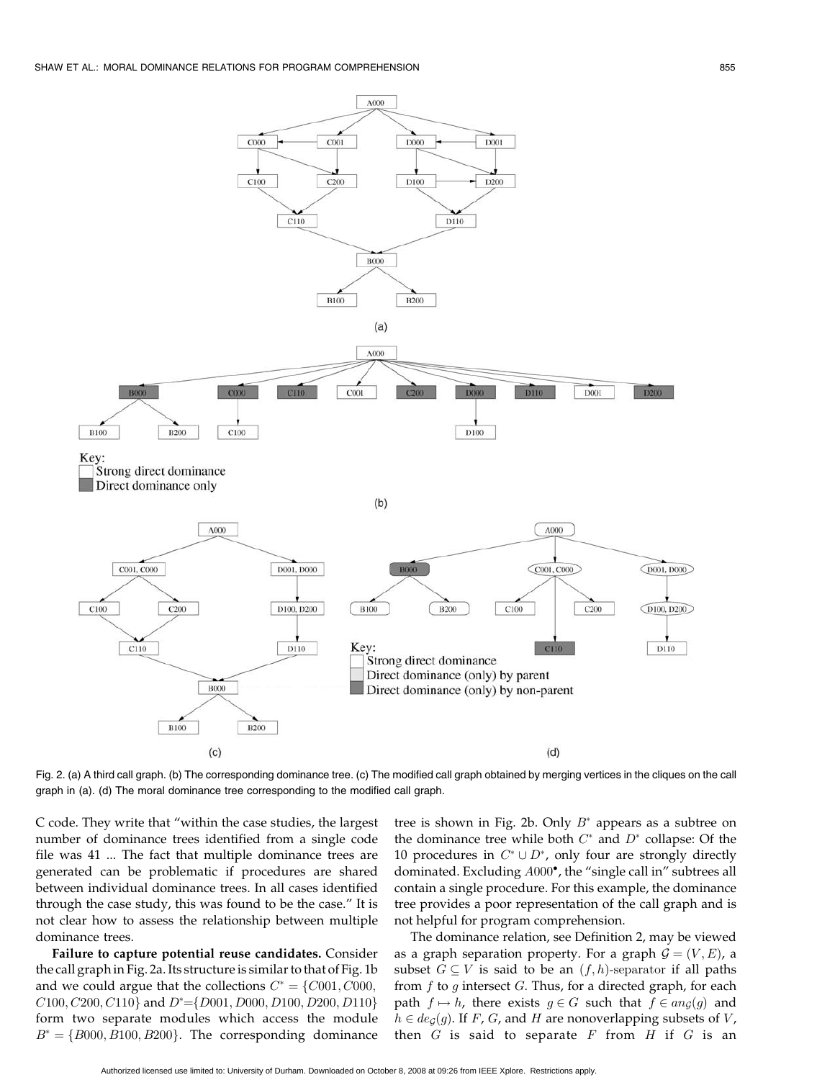

Fig. 2. (a) A third call graph. (b) The corresponding dominance tree. (c) The modified call graph obtained by merging vertices in the cliques on the call graph in (a). (d) The moral dominance tree corresponding to the modified call graph.

C code. They write that "within the case studies, the largest number of dominance trees identified from a single code file was 41 ... The fact that multiple dominance trees are generated can be problematic if procedures are shared between individual dominance trees. In all cases identified through the case study, this was found to be the case." It is not clear how to assess the relationship between multiple dominance trees.

Failure to capture potential reuse candidates. Consider the call graph in Fig. 2a. Its structure is similar to that of Fig. 1b and we could argue that the collections  $C^* = \{C001, C000,$  $C100, C200, C110$ } and  $D^* = \{D001, D000, D100, D200, D110\}$ form two separate modules which access the module  $B^* = \{B000, B100, B200\}.$  The corresponding dominance

tree is shown in Fig. 2b. Only  $B^*$  appears as a subtree on the dominance tree while both  $C^*$  and  $D^*$  collapse: Of the 10 procedures in  $C^* \cup D^*$ , only four are strongly directly dominated. Excluding  $A000^{\bullet}$ , the "single call in" subtrees all contain a single procedure. For this example, the dominance tree provides a poor representation of the call graph and is not helpful for program comprehension.

The dominance relation, see Definition 2, may be viewed as a graph separation property. For a graph  $\mathcal{G} = (V, E)$ , a subset  $G \subseteq V$  is said to be an  $(f,h)$ -separator if all paths from  $f$  to  $g$  intersect  $G$ . Thus, for a directed graph, for each path  $f \mapsto h$ , there exists  $g \in G$  such that  $f \in ang(g)$  and  $h \in deg(g)$ . If F, G, and H are nonoverlapping subsets of V, then  $G$  is said to separate  $F$  from  $H$  if  $G$  is an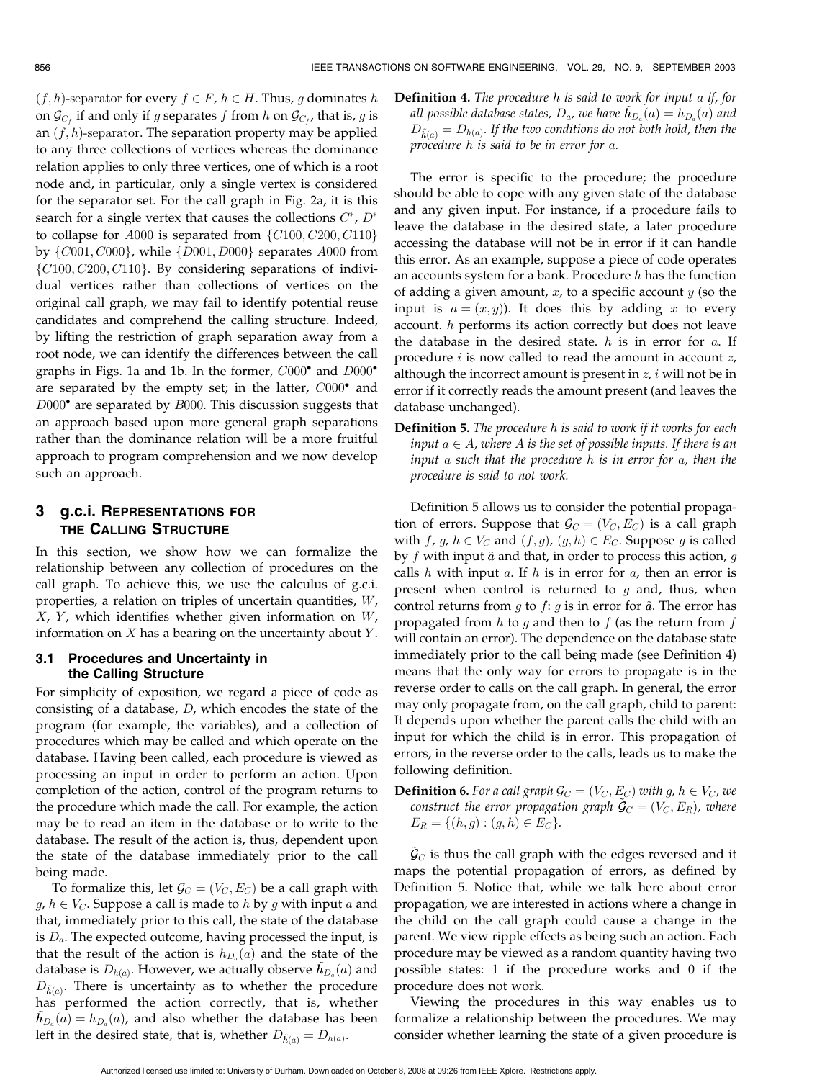$(f,h)$ -separator for every  $f \in F$ ,  $h \in H$ . Thus, g dominates h on  $\mathcal{G}_{C_f}$  if and only if g separates f from h on  $\mathcal{G}_{C_f}$ , that is, g is an  $(f,h)$ -separator. The separation property may be applied to any three collections of vertices whereas the dominance relation applies to only three vertices, one of which is a root node and, in particular, only a single vertex is considered for the separator set. For the call graph in Fig. 2a, it is this search for a single vertex that causes the collections  $C^*$ ,  $D^*$ to collapse for  $A000$  is separated from  $\{C100, C200, C110\}$ by  $\{C001, C000\}$ , while  $\{D001, D000\}$  separates  $A000$  from  $\{C100, C200, C110\}$ . By considering separations of individual vertices rather than collections of vertices on the original call graph, we may fail to identify potential reuse candidates and comprehend the calling structure. Indeed, by lifting the restriction of graph separation away from a root node, we can identify the differences between the call graphs in Figs. 1a and 1b. In the former,  $C000^{\circ}$  and  $D000^{\circ}$ are separated by the empty set; in the latter,  $C000$ <sup> $\bullet$ </sup> and  $D000<sup>°</sup>$  are separated by  $B000$ . This discussion suggests that an approach based upon more general graph separations rather than the dominance relation will be a more fruitful approach to program comprehension and we now develop such an approach.

## 3 g.c.i. REPRESENTATIONS FOR THE CALLING STRUCTURE

In this section, we show how we can formalize the relationship between any collection of procedures on the call graph. To achieve this, we use the calculus of g.c.i. properties, a relation on triples of uncertain quantities, W,  $X$ ,  $Y$ , which identifies whether given information on  $W$ , information on  $X$  has a bearing on the uncertainty about  $Y$ .

## 3.1 Procedures and Uncertainty in the Calling Structure

For simplicity of exposition, we regard a piece of code as consisting of a database, D, which encodes the state of the program (for example, the variables), and a collection of procedures which may be called and which operate on the database. Having been called, each procedure is viewed as processing an input in order to perform an action. Upon completion of the action, control of the program returns to the procedure which made the call. For example, the action may be to read an item in the database or to write to the database. The result of the action is, thus, dependent upon the state of the database immediately prior to the call being made.

To formalize this, let  $\mathcal{G}_C = (V_C, E_C)$  be a call graph with  $g, h \in V_C$ . Suppose a call is made to h by g with input a and that, immediately prior to this call, the state of the database is  $D_a$ . The expected outcome, having processed the input, is that the result of the action is  $h_{D_a}(a)$  and the state of the database is  $D_{h(a)}$ . However, we actually observe  $\tilde{h}_{D_a}(a)$  and  $D_{\tilde{h}(a)}$ . There is uncertainty as to whether the procedure has performed the action correctly, that is, whether  $\tilde{h}_{D_a}(a) = h_{D_a}(a)$ , and also whether the database has been left in the desired state, that is, whether  $D_{\tilde{h}(a)} = D_{h(a)}$ .

**Definition 4.** The procedure  $h$  is said to work for input  $a$  if, for all possible database states,  $D_a$ , we have  $h_{D_a}(a) = h_{D_a}(a)$  and  $D_{\tilde{h}(a)} = D_{h(a)}$ . If the two conditions do not both hold, then the procedure h is said to be in error for a.

The error is specific to the procedure; the procedure should be able to cope with any given state of the database and any given input. For instance, if a procedure fails to leave the database in the desired state, a later procedure accessing the database will not be in error if it can handle this error. As an example, suppose a piece of code operates an accounts system for a bank. Procedure  $h$  has the function of adding a given amount,  $x$ , to a specific account  $y$  (so the input is  $a = (x, y)$ . It does this by adding x to every account. h performs its action correctly but does not leave the database in the desired state.  $h$  is in error for  $a$ . If procedure  $i$  is now called to read the amount in account  $z$ , although the incorrect amount is present in  $z$ ,  $i$  will not be in error if it correctly reads the amount present (and leaves the database unchanged).

**Definition 5.** The procedure h is said to work if it works for each input  $a \in A$ , where A is the set of possible inputs. If there is an input a such that the procedure h is in error for a, then the procedure is said to not work.

Definition 5 allows us to consider the potential propagation of errors. Suppose that  $\mathcal{G}_C = (V_C, E_C)$  is a call graph with f, g,  $h \in V_C$  and  $(f, g)$ ,  $(g, h) \in E_C$ . Suppose g is called by f with input  $\tilde{a}$  and that, in order to process this action, g calls  $h$  with input  $a$ . If  $h$  is in error for  $a$ , then an error is present when control is returned to  $q$  and, thus, when control returns from  $g$  to  $f: g$  is in error for  $\tilde{a}$ . The error has propagated from  $h$  to  $g$  and then to  $f$  (as the return from  $f$ will contain an error). The dependence on the database state immediately prior to the call being made (see Definition 4) means that the only way for errors to propagate is in the reverse order to calls on the call graph. In general, the error may only propagate from, on the call graph, child to parent: It depends upon whether the parent calls the child with an input for which the child is in error. This propagation of errors, in the reverse order to the calls, leads us to make the following definition.

**Definition 6.** For a call graph  $\mathcal{G}_C = (V_C, E_C)$  with g,  $h \in V_C$ , we construct the error propagation graph  $\mathcal{G}_C = (V_C, E_R)$ , where  $E_R = \{(h, g) : (g, h) \in E_C\}.$ 

 $\mathcal{G}_C$  is thus the call graph with the edges reversed and it maps the potential propagation of errors, as defined by Definition 5. Notice that, while we talk here about error propagation, we are interested in actions where a change in the child on the call graph could cause a change in the parent. We view ripple effects as being such an action. Each procedure may be viewed as a random quantity having two possible states: 1 if the procedure works and 0 if the procedure does not work.

Viewing the procedures in this way enables us to formalize a relationship between the procedures. We may consider whether learning the state of a given procedure is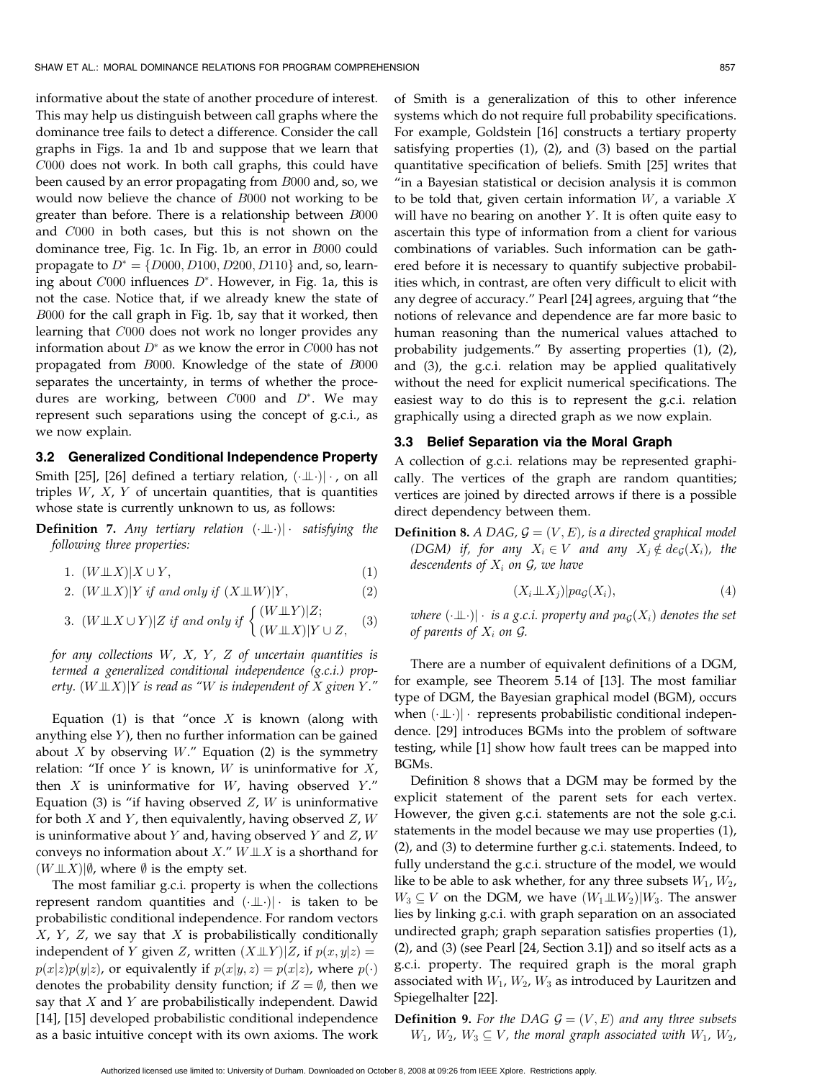informative about the state of another procedure of interest. This may help us distinguish between call graphs where the dominance tree fails to detect a difference. Consider the call graphs in Figs. 1a and 1b and suppose that we learn that C000 does not work. In both call graphs, this could have been caused by an error propagating from B000 and, so, we would now believe the chance of B000 not working to be greater than before. There is a relationship between  $B000$ and C000 in both cases, but this is not shown on the dominance tree, Fig. 1c. In Fig. 1b, an error in B000 could propagate to  $D^* = \{D000, D100, D200, D110\}$  and, so, learning about  $C000$  influences  $D^*$ . However, in Fig. 1a, this is not the case. Notice that, if we already knew the state of B000 for the call graph in Fig. 1b, say that it worked, then learning that C000 does not work no longer provides any information about  $D^*$  as we know the error in  $C_{000}$  has not propagated from B000. Knowledge of the state of B000 separates the uncertainty, in terms of whether the procedures are working, between  $C000$  and  $D^*$ . We may represent such separations using the concept of g.c.i., as we now explain.

#### 3.2 Generalized Conditional Independence Property

Smith [25], [26] defined a tertiary relation,  $(\cdot \mathbb{L} \cdot) \cdot$ , on all triples  $W$ ,  $X$ ,  $Y$  of uncertain quantities, that is quantities whose state is currently unknown to us, as follows:

**Definition 7.** Any tertiary relation  $(\cdot \mathbf{\perp} \cdot)$  satisfying the following three properties:

$$
1. \t(W \perp\!\!\!\perp X)|X \cup Y,\t(1)
$$

2. 
$$
(W \perp X)|Y \text{ if and only if } (X \perp W)|Y,
$$
 (2)

3. 
$$
(W \perp X \cup Y)|Z \text{ if and only if } \begin{cases} (W \perp Y)|Z; \\ (W \perp X)|Y \cup Z, \end{cases}
$$
 (3)

for any collections  $W$ ,  $X$ ,  $Y$ ,  $Z$  of uncertain quantities is termed a generalized conditional independence (g.c.i.) property.  $(W \perp\!\!\!\perp X)|Y$  is read as "W is independent of X given Y."

Equation (1) is that "once  $X$  is known (along with anything else  $Y$ ), then no further information can be gained about  $X$  by observing  $W$ ." Equation (2) is the symmetry relation: "If once Y is known, W is uninformative for  $X$ , then  $X$  is uninformative for  $W$ , having observed  $Y$ ." Equation (3) is "if having observed  $Z$ ,  $W$  is uninformative for both  $X$  and  $Y$ , then equivalently, having observed  $Z$ ,  $W$ is uninformative about  $Y$  and, having observed  $Y$  and  $Z$ ,  $W$ conveys no information about X."  $W \perp\!\!\!\perp X$  is a shorthand for  $(W \perp\!\!\!\perp X)$   $|\emptyset$ , where  $\emptyset$  is the empty set.

The most familiar g.c.i. property is when the collections represent random quantities and  $(\cdot \perp \!\!\!\perp \cdot)|\cdot$  is taken to be probabilistic conditional independence. For random vectors  $X$ ,  $Y$ ,  $Z$ , we say that  $X$  is probabilistically conditionally independent of Y given Z, written  $(X \perp\!\!\!\perp Y)|Z$ , if  $p(x, y|z) =$  $p(x|z)p(y|z)$ , or equivalently if  $p(x|y, z) = p(x|z)$ , where  $p(\cdot)$ denotes the probability density function; if  $Z = \emptyset$ , then we say that  $X$  and  $Y$  are probabilistically independent. Dawid [14], [15] developed probabilistic conditional independence as a basic intuitive concept with its own axioms. The work

of Smith is a generalization of this to other inference systems which do not require full probability specifications. For example, Goldstein [16] constructs a tertiary property satisfying properties (1), (2), and (3) based on the partial quantitative specification of beliefs. Smith [25] writes that "in a Bayesian statistical or decision analysis it is common to be told that, given certain information  $W$ , a variable  $X$ will have no bearing on another  $Y$ . It is often quite easy to ascertain this type of information from a client for various combinations of variables. Such information can be gathered before it is necessary to quantify subjective probabilities which, in contrast, are often very difficult to elicit with any degree of accuracy." Pearl [24] agrees, arguing that "the notions of relevance and dependence are far more basic to human reasoning than the numerical values attached to probability judgements." By asserting properties (1), (2), and (3), the g.c.i. relation may be applied qualitatively without the need for explicit numerical specifications. The easiest way to do this is to represent the g.c.i. relation graphically using a directed graph as we now explain.

#### 3.3 Belief Separation via the Moral Graph

A collection of g.c.i. relations may be represented graphically. The vertices of the graph are random quantities; vertices are joined by directed arrows if there is a possible direct dependency between them.

**Definition 8.** A DAG,  $G = (V, E)$ , is a directed graphical model (DGM) if, for any  $X_i \in V$  and any  $X_i \notin deg(X_i)$ , the descendents of  $X_i$  on  $\mathcal{G}$ , we have

$$
(X_i \perp \!\!\!\perp X_j)|pa_{\mathcal{G}}(X_i),\tag{4}
$$

where  $(\cdot \mathop{\perp\!\!\!\perp} \cdot)|\cdot$  is a g.c.i. property and  $pa_G(X_i)$  denotes the set of parents of  $X_i$  on  $\mathcal{G}$ .

There are a number of equivalent definitions of a DGM, for example, see Theorem 5.14 of [13]. The most familiar type of DGM, the Bayesian graphical model (BGM), occurs when  $(\cdot \mathop{\perp\!\!\!\perp} \cdot)|\cdot$  represents probabilistic conditional independence. [29] introduces BGMs into the problem of software testing, while [1] show how fault trees can be mapped into BGMs.

Definition 8 shows that a DGM may be formed by the explicit statement of the parent sets for each vertex. However, the given g.c.i. statements are not the sole g.c.i. statements in the model because we may use properties (1), (2), and (3) to determine further g.c.i. statements. Indeed, to fully understand the g.c.i. structure of the model, we would like to be able to ask whether, for any three subsets  $W_1$ ,  $W_2$ ,  $W_3 \subseteq V$  on the DGM, we have  $(W_1 \perp\!\!\!\perp W_2)|W_3$ . The answer lies by linking g.c.i. with graph separation on an associated undirected graph; graph separation satisfies properties (1), (2), and (3) (see Pearl [24, Section 3.1]) and so itself acts as a g.c.i. property. The required graph is the moral graph associated with  $W_1$ ,  $W_2$ ,  $W_3$  as introduced by Lauritzen and Spiegelhalter [22].

**Definition 9.** For the DAG  $G = (V, E)$  and any three subsets  $W_1$ ,  $W_2$ ,  $W_3 \subseteq V$ , the moral graph associated with  $W_1$ ,  $W_2$ ,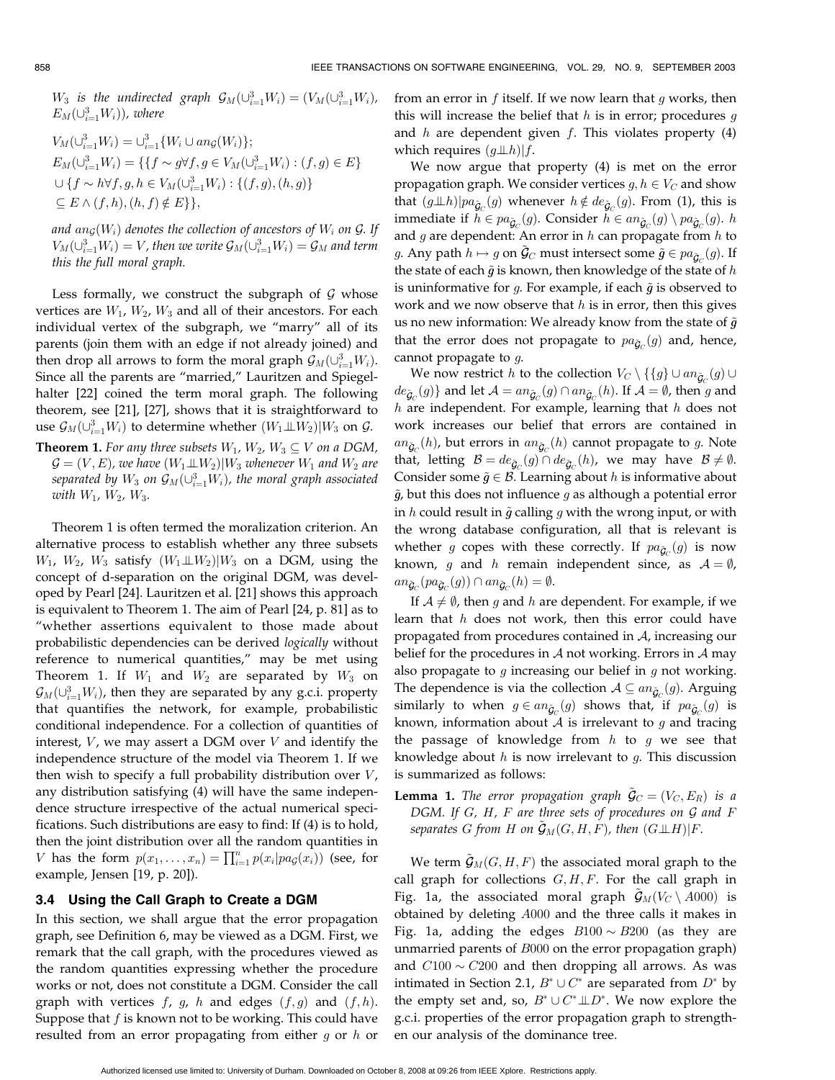$W_3$  is the undirected graph  $\mathcal{G}_M(\cup_{i=1}^3 W_i) = (V_M(\cup_{i=1}^3 W_i))$ ,  $E_M(\cup_{i=1}^3 W_i)$ ), where

$$
V_M(\bigcup_{i=1}^3 W_i) = \bigcup_{i=1}^3 \{W_i \cup an_{\mathcal{G}}(W_i)\};
$$
  
\n
$$
E_M(\bigcup_{i=1}^3 W_i) = \{\{f \sim g \forall f, g \in V_M(\bigcup_{i=1}^3 W_i) : (f, g) \in E\}
$$
  
\n
$$
\bigcup \{f \sim h \forall f, g, h \in V_M(\bigcup_{i=1}^3 W_i) : \{(f, g), (h, g)\}
$$
  
\n
$$
\subseteq E \wedge (f, h), (h, f) \notin E\}\},
$$

and  $an_G(W_i)$  denotes the collection of ancestors of  $W_i$  on G. If  $V_M(\cup_{i=1}^3 W_i)=V$ , then we write  $\mathcal{G}_M(\cup_{i=1}^3 W_i)=\mathcal{G}_M$  and term this the full moral graph.

Less formally, we construct the subgraph of  $G$  whose vertices are  $W_1$ ,  $W_2$ ,  $W_3$  and all of their ancestors. For each individual vertex of the subgraph, we "marry" all of its parents (join them with an edge if not already joined) and then drop all arrows to form the moral graph  $\mathcal{G}_M(\cup_{i=1}^3 W_i)$ . Since all the parents are "married," Lauritzen and Spiegelhalter [22] coined the term moral graph. The following theorem, see [21], [27], shows that it is straightforward to use  $\mathcal{G}_M(\cup_{i=1}^3 W_i)$  to determine whether  $(W_1\!\perp\!\!\!\perp W_2)|W_3$  on  $\mathcal{G}.$ 

**Theorem 1.** For any three subsets  $W_1$ ,  $W_2$ ,  $W_3 \subseteq V$  on a DGM,  $\mathcal{G} = (V, E)$ , we have  $(W_1 \perp\!\!\!\perp W_2)|W_3$  whenever  $W_1$  and  $W_2$  are separated by  $W_3$  on  $\mathcal{G}_M(\cup_{i=1}^3 W_i)$ , the moral graph associated with  $W_1$ ,  $W_2$ ,  $W_3$ .

Theorem 1 is often termed the moralization criterion. An alternative process to establish whether any three subsets  $W_1$ ,  $W_2$ ,  $W_3$  satisfy  $(W_1 \perp\!\!\!\perp W_2)|W_3$  on a DGM, using the concept of d-separation on the original DGM, was developed by Pearl [24]. Lauritzen et al. [21] shows this approach is equivalent to Theorem 1. The aim of Pearl [24, p. 81] as to "whether assertions equivalent to those made about probabilistic dependencies can be derived logically without reference to numerical quantities," may be met using Theorem 1. If  $W_1$  and  $W_2$  are separated by  $W_3$  on  $\mathcal{G}_M(\cup_{i=1}^3 W_i)$ , then they are separated by any g.c.i. property that quantifies the network, for example, probabilistic conditional independence. For a collection of quantities of interest,  $V$ , we may assert a DGM over  $V$  and identify the independence structure of the model via Theorem 1. If we then wish to specify a full probability distribution over  $V$ , any distribution satisfying (4) will have the same independence structure irrespective of the actual numerical specifications. Such distributions are easy to find: If (4) is to hold, then the joint distribution over all the random quantities in V has the form  $p(x_1, ..., x_n) = \prod_{i=1}^{n} p(x_i|pa_{\mathcal{G}}(x_i))$  (see, for example, Jensen [19, p. 20]).

#### 3.4 Using the Call Graph to Create a DGM

In this section, we shall argue that the error propagation graph, see Definition 6, may be viewed as a DGM. First, we remark that the call graph, with the procedures viewed as the random quantities expressing whether the procedure works or not, does not constitute a DGM. Consider the call graph with vertices f, g, h and edges  $(f,g)$  and  $(f,h)$ . Suppose that  $f$  is known not to be working. This could have resulted from an error propagating from either  $g$  or  $h$  or

from an error in  $f$  itself. If we now learn that  $g$  works, then this will increase the belief that  $h$  is in error; procedures  $g$ and  $h$  are dependent given  $f$ . This violates property  $(4)$ which requires  $(g \perp h) | f$ .

We now argue that property (4) is met on the error propagation graph. We consider vertices  $g, h \in V_C$  and show that  $(g \perp h)|pa_{\tilde{Q}_C}(g)$  whenever  $h \notin de_{\tilde{Q}_C}(g)$ . From (1), this is immediate if  $h \in pa_{\tilde{q}_C}(g)$ . Consider  $h \in an_{\tilde{q}_C}(g) \setminus pa_{\tilde{q}_C}(g)$ . h and  $g$  are dependent: An error in  $h$  can propagate from  $h$  to g. Any path  $h \mapsto g$  on  $\mathcal{G}_C$  must intersect some  $\tilde{g} \in pa_{\tilde{G}_C}(g)$ . If the state of each  $\tilde{g}$  is known, then knowledge of the state of h is uninformative for  $g$ . For example, if each  $\tilde{g}$  is observed to work and we now observe that  $h$  is in error, then this gives us no new information: We already know from the state of  $\tilde{g}$ that the error does not propagate to  $pa_{\tilde{\mathcal{C}}_C}(g)$  and, hence, cannot propagate to g.

We now restrict h to the collection  $V_C \setminus \{ \{g\} \cup an_{\tilde{G}_C}(g) \cup$  $de_{\tilde{\mathbf{G}}_C}(g)$  and let  $\mathcal{A} = an_{\tilde{\mathbf{G}}_C}(g) \cap an_{\tilde{\mathbf{G}}_C}(h)$ . If  $\mathcal{A} = \emptyset$ , then g and  $h$  are independent. For example, learning that  $h$  does not work increases our belief that errors are contained in  $an_{\tilde{G}_c}(h)$ , but errors in  $an_{\tilde{G}_c}(h)$  cannot propagate to g. Note that, letting  $\mathcal{B} = de_{\tilde{\mathbf{G}}_C}(g) \cap de_{\tilde{\mathbf{G}}_C}(h)$ , we may have  $\mathcal{B} \neq \emptyset$ . Consider some  $\tilde{g} \in \mathcal{B}$ . Learning about h is informative about  $\tilde{g}$ , but this does not influence  $g$  as although a potential error in h could result in  $\tilde{g}$  calling g with the wrong input, or with the wrong database configuration, all that is relevant is whether g copes with these correctly. If  $pa_{\tilde{G}_C}(g)$  is now known, g and h remain independent since, as  $A = \emptyset$ ,  $an_{\tilde{g}_C}(pa_{\tilde{g}_C}(g)) \cap an_{\tilde{g}_C}(h) = \emptyset.$ 

If  $A \neq \emptyset$ , then g and h are dependent. For example, if we learn that h does not work, then this error could have propagated from procedures contained in A, increasing our belief for the procedures in  $A$  not working. Errors in  $A$  may also propagate to  $g$  increasing our belief in  $g$  not working. The dependence is via the collection  $A \subseteq an_{\tilde{G}}(g)$ . Arguing similarly to when  $g \in an_{\tilde{G}_C}(g)$  shows that, if  $pa_{\tilde{G}_C}(g)$  is known, information about  $A$  is irrelevant to  $g$  and tracing the passage of knowledge from  $h$  to  $g$  we see that knowledge about  $h$  is now irrelevant to  $g$ . This discussion is summarized as follows:

**Lemma 1.** The error propagation graph  $\tilde{\mathcal{G}}_C = (V_C, E_R)$  is a DGM. If G, H, F are three sets of procedures on  $G$  and  $F$ separates G from H on  $\mathcal{G}_M(G, H, F)$ , then  $(G \perp H)|F$ .

We term  $\mathcal{G}_M(G, H, F)$  the associated moral graph to the call graph for collections  $G, H, F$ . For the call graph in Fig. 1a, the associated moral graph  $\mathcal{G}_M(V_C \setminus A000)$  is obtained by deleting A000 and the three calls it makes in Fig. 1a, adding the edges  $B100\sim B200$  (as they are unmarried parents of B000 on the error propagation graph) and  $C100 \sim C200$  and then dropping all arrows. As was intimated in Section 2.1,  $B^* \cup C^*$  are separated from  $D^*$  by the empty set and, so,  $B^* \cup C^* \perp\!\!\!\perp D^*$ . We now explore the g.c.i. properties of the error propagation graph to strengthen our analysis of the dominance tree.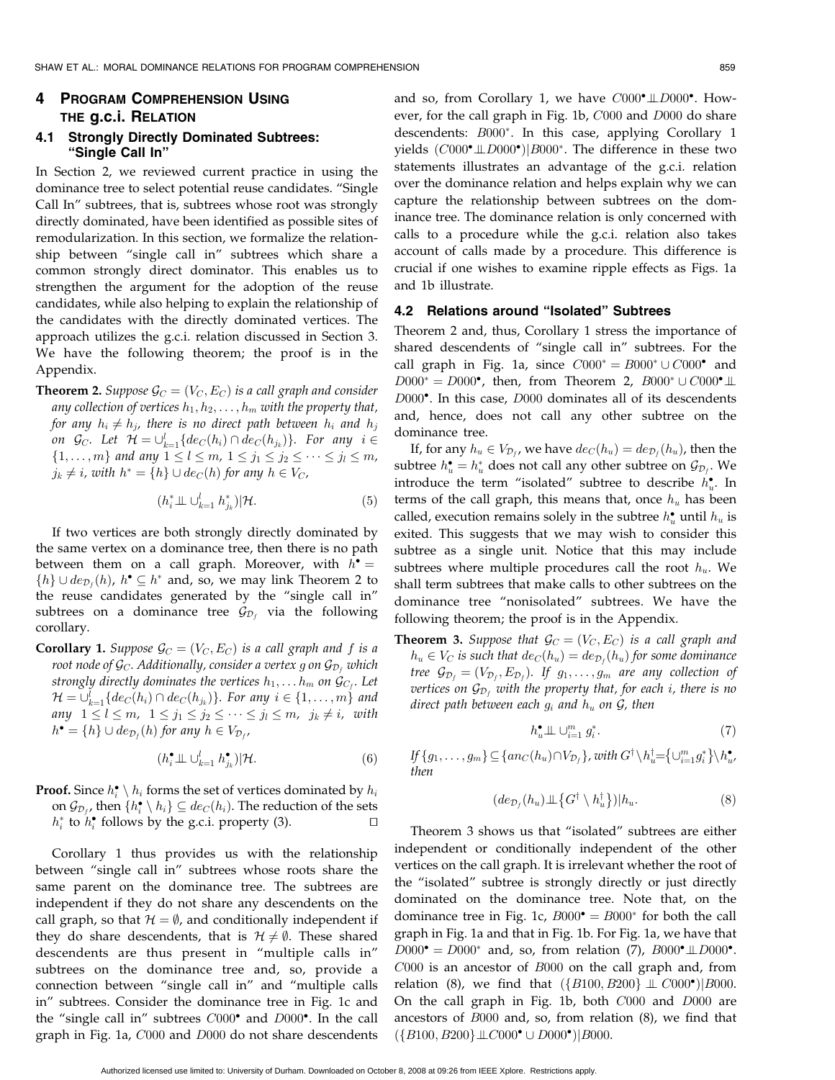## 4 PROGRAM COMPREHENSION USING THE g.c.i. RELATION

### 4.1 Strongly Directly Dominated Subtrees: "Single Call In"

In Section 2, we reviewed current practice in using the dominance tree to select potential reuse candidates. "Single Call In" subtrees, that is, subtrees whose root was strongly directly dominated, have been identified as possible sites of remodularization. In this section, we formalize the relationship between "single call in" subtrees which share a common strongly direct dominator. This enables us to strengthen the argument for the adoption of the reuse candidates, while also helping to explain the relationship of the candidates with the directly dominated vertices. The approach utilizes the g.c.i. relation discussed in Section 3. We have the following theorem; the proof is in the Appendix.

**Theorem 2.** Suppose  $\mathcal{G}_C = (V_C, E_C)$  is a call graph and consider any collection of vertices  $h_1, h_2, \ldots, h_m$  with the property that, for any  $h_i \neq h_j$ , there is no direct path between  $h_i$  and  $h_j$ on  $\mathcal{G}_C$ . Let  $\mathcal{H} = \cup_{k=1}^l \{de_C(h_i) \cap de_C(h_{j_k})\}$ . For any  $i \in$  $\{1, \ldots, m\}$  and any  $1 \leq l \leq m$ ,  $1 \leq j_1 \leq j_2 \leq \cdots \leq j_l \leq m$ ,  $j_k \neq i$ , with  $h^* = \{h\} \cup de_C(h)$  for any  $h \in V_C$ ,

$$
(h_i^* \perp \!\!\!\perp \cup_{k=1}^l h_{j_k}^*)|\mathcal{H}.\tag{5}
$$

If two vertices are both strongly directly dominated by the same vertex on a dominance tree, then there is no path between them on a call graph. Moreover, with  $h^{\bullet} =$  $\{h\} \cup de_{\mathcal{D}_{f}}(h)$ ,  $h^{\bullet} \subseteq h^*$  and, so, we may link Theorem 2 to the reuse candidates generated by the "single call in" subtrees on a dominance tree  $\mathcal{G}_{\mathcal{D}_f}$  via the following corollary.

**Corollary 1.** Suppose  $\mathcal{G}_C = (V_C, E_C)$  is a call graph and f is a root node of  $\mathcal{G}_C$ . Additionally, consider a vertex g on  $\mathcal{G}_{\mathcal{D}_f}$  which strongly directly dominates the vertices  $h_1, \ldots h_m$  on  $\mathcal{G}_{C_f}$ . Let  $\mathcal{H} = \cup_{k=1}^l \{de_C(h_i) \cap de_C(h_{j_k})\}.$  For any  $i \in \{1, \ldots, m\}$  and any  $1 \leq l \leq m$ ,  $1 \leq j_1 \leq j_2 \leq \cdots \leq j_l \leq m$ ,  $j_k \neq i$ , with  $h^{\bullet} = \{h\} \cup de_{\mathcal{D}_f}(h)$  for any  $h \in V_{\mathcal{D}_f}$ ,

$$
(h_i^{\bullet} \perp \!\!\!\perp \cup_{k=1}^l h_{j_k}^{\bullet}) | \mathcal{H}. \tag{6}
$$

**Proof.** Since  $h_i^{\bullet} \setminus h_i$  forms the set of vertices dominated by  $h_i$ on  $\mathcal{G}_{\mathcal{D}_f}$ , then  $\{h_i^{\bullet} \setminus h_i\} \subseteq dec(h_i)$ . The reduction of the sets  $h_i^*$  to  $h_i^*$  follows by the g.c.i. property (3).

Corollary 1 thus provides us with the relationship between "single call in" subtrees whose roots share the same parent on the dominance tree. The subtrees are independent if they do not share any descendents on the call graph, so that  $\mathcal{H} = \emptyset$ , and conditionally independent if they do share descendents, that is  $\mathcal{H} \neq \emptyset$ . These shared descendents are thus present in "multiple calls in" subtrees on the dominance tree and, so, provide a connection between "single call in" and "multiple calls in" subtrees. Consider the dominance tree in Fig. 1c and the "single call in" subtrees  $C000$ <sup>o</sup> and  $D000$ <sup>o</sup>. In the call graph in Fig. 1a, C000 and D000 do not share descendents

and so, from Corollary 1, we have  $C000^{\bullet} \perp\!\!\!\perp D000^{\bullet}$ . However, for the call graph in Fig. 1b, C000 and D000 do share descendents:  $B000^*$ . In this case, applying Corollary 1 yields  $(C000^{\bullet} \perp\!\!\!\perp D000^{\bullet})|B000^{\circ}$ . The difference in these two statements illustrates an advantage of the g.c.i. relation over the dominance relation and helps explain why we can capture the relationship between subtrees on the dominance tree. The dominance relation is only concerned with calls to a procedure while the g.c.i. relation also takes account of calls made by a procedure. This difference is crucial if one wishes to examine ripple effects as Figs. 1a and 1b illustrate.

## 4.2 Relations around "Isolated" Subtrees

Theorem 2 and, thus, Corollary 1 stress the importance of shared descendents of "single call in" subtrees. For the call graph in Fig. 1a, since  $C000^* = B000^* \cup C000^{\circ}$  and  $D000^* = D000^{\bullet}$ , then, from Theorem 2,  $B000^* \cup C000^{\bullet} \perp \perp$  $D000$ <sup> $\bullet$ </sup>. In this case,  $D000$  dominates all of its descendents and, hence, does not call any other subtree on the dominance tree.

If, for any  $h_u \in V_{\mathcal{D}_f}$ , we have  $de_C(h_u) = de_{\mathcal{D}_f}(h_u)$ , then the subtree  $h_u^{\bullet} = h_u^*$  does not call any other subtree on  $\mathcal{G}_{\mathcal{D}_f}$ . We introduce the term "isolated" subtree to describe  $h_u^{\bullet}$ . In terms of the call graph, this means that, once  $h_u$  has been called, execution remains solely in the subtree  $h_u^{\bullet}$  until  $h_u$  is exited. This suggests that we may wish to consider this subtree as a single unit. Notice that this may include subtrees where multiple procedures call the root  $h_u$ . We shall term subtrees that make calls to other subtrees on the dominance tree "nonisolated" subtrees. We have the following theorem; the proof is in the Appendix.

**Theorem 3.** Suppose that  $\mathcal{G}_C = (V_C, E_C)$  is a call graph and  $h_u \in V_C$  is such that  $de_C(h_u) = de_{\mathcal{D}_f}(h_u)$  for some dominance tree  $G_{\mathcal{D}_f} = (V_{\mathcal{D}_f}, E_{\mathcal{D}_f})$ . If  $g_1, \ldots, g_m$  are any collection of vertices on  $\mathcal{G}_{\mathcal{D}_f}$  with the property that, for each i, there is no direct path between each  $g_i$  and  $h_u$  on  $\mathcal{G}$ , then

$$
h_u^{\bullet} \perp \!\!\! \perp \cup_{i=1}^m g_i^*.
$$
 (7)

If  $\{g_1,\ldots,g_m\}\subseteq \{an_C(h_u)\cap V_{\mathcal{D}_f}\}$ , with  $G^{\dagger}\backslash h_u^{\dagger}=\{\cup_{i=1}^mg_i^*\}\backslash h_u^{\bullet}$ then

$$
(de_{\mathcal{D}_f}(h_u) \perp \big\{ G^\dagger \setminus h_u^\dagger \big\}) | h_u. \tag{8}
$$

Theorem 3 shows us that "isolated" subtrees are either independent or conditionally independent of the other vertices on the call graph. It is irrelevant whether the root of the "isolated" subtree is strongly directly or just directly dominated on the dominance tree. Note that, on the dominance tree in Fig. 1c,  $B000^{\bullet} = B000^{\circ}$  for both the call graph in Fig. 1a and that in Fig. 1b. For Fig. 1a, we have that  $D000^{\bullet} = D000^*$  and, so, from relation (7),  $B000^{\bullet} \perp\!\!\!\perp D000^{\bullet}$ . C000 is an ancestor of B000 on the call graph and, from relation (8), we find that  $({B100, B200} \perp \!\!\!\perp CO00^{\bullet})|B000$ . On the call graph in Fig. 1b, both C000 and D000 are ancestors of B000 and, so, from relation (8), we find that  $(\{B100, B200\} \perp\!\!\!\perp C000^{\bullet} \cup D000^{\bullet})|B000.$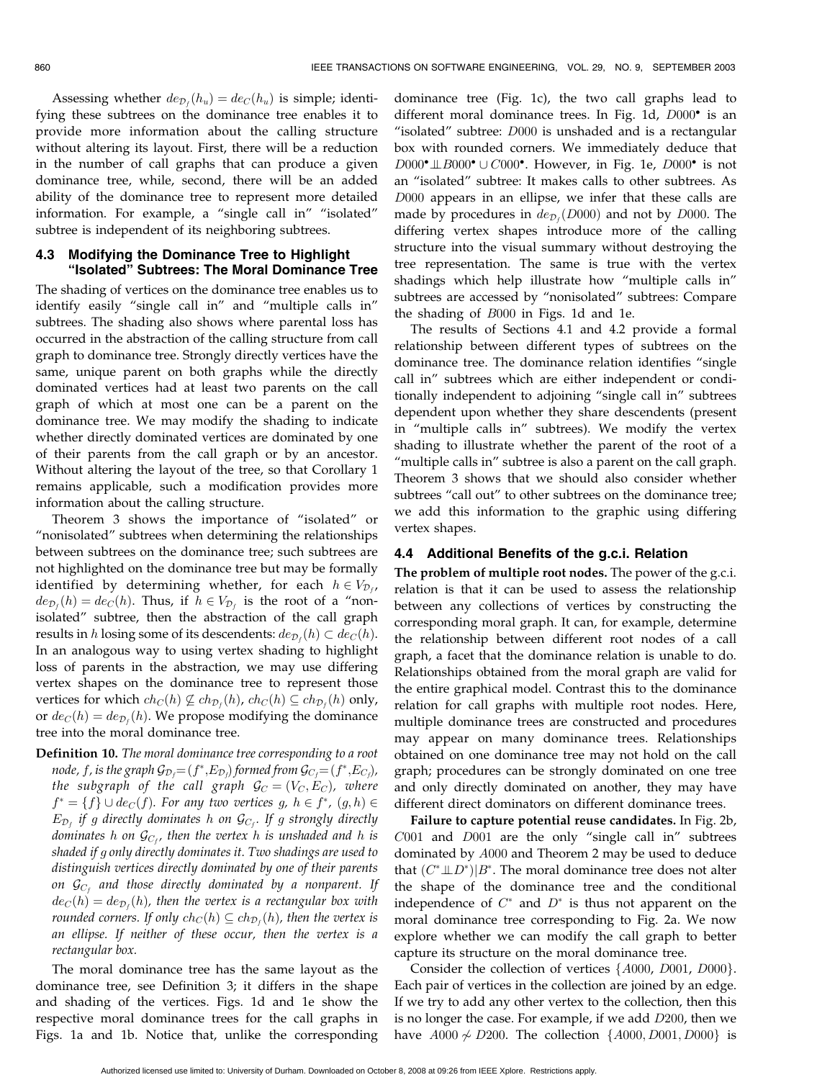Assessing whether  $de_{\mathcal{D}_f}(h_u) = de_C(h_u)$  is simple; identifying these subtrees on the dominance tree enables it to provide more information about the calling structure without altering its layout. First, there will be a reduction in the number of call graphs that can produce a given dominance tree, while, second, there will be an added ability of the dominance tree to represent more detailed information. For example, a "single call in" "isolated" subtree is independent of its neighboring subtrees.

## 4.3 Modifying the Dominance Tree to Highlight "Isolated" Subtrees: The Moral Dominance Tree

The shading of vertices on the dominance tree enables us to identify easily "single call in" and "multiple calls in" subtrees. The shading also shows where parental loss has occurred in the abstraction of the calling structure from call graph to dominance tree. Strongly directly vertices have the same, unique parent on both graphs while the directly dominated vertices had at least two parents on the call graph of which at most one can be a parent on the dominance tree. We may modify the shading to indicate whether directly dominated vertices are dominated by one of their parents from the call graph or by an ancestor. Without altering the layout of the tree, so that Corollary 1 remains applicable, such a modification provides more information about the calling structure.

Theorem 3 shows the importance of "isolated" or "nonisolated" subtrees when determining the relationships between subtrees on the dominance tree; such subtrees are not highlighted on the dominance tree but may be formally identified by determining whether, for each  $h \in V_{\mathcal{D}_{f}}$ ,  $de_{\mathcal{D}_f}(h) = de_C(h)$ . Thus, if  $h \in V_{\mathcal{D}_f}$  is the root of a "nonisolated" subtree, then the abstraction of the call graph results in h losing some of its descendents:  $de_{\mathcal{D}_f}(h) \subset de_C(h)$ . In an analogous way to using vertex shading to highlight loss of parents in the abstraction, we may use differing vertex shapes on the dominance tree to represent those vertices for which  $ch_C(h) \nsubseteq ch_{\mathcal{D}_f}(h)$ ,  $ch_C(h) \subseteq ch_{\mathcal{D}_f}(h)$  only, or  $dec(h) = de_{\mathcal{D}_f}(h)$ . We propose modifying the dominance tree into the moral dominance tree.

Definition 10. The moral dominance tree corresponding to a root node, f, is the graph  $\mathcal{G}_{\mathcal{D}_f} = (f^*, E_{\mathcal{D}_f})$  formed from  $\mathcal{G}_{C_f} = (f^*, E_{C_f})$ , the subgraph of the call graph  $\mathcal{G}_C = (V_C, E_C)$ , where  $f^* = \{ f \} \cup de_C(f)$ . For any two vertices g,  $h \in f^*$ ,  $(g, h) \in$  $E_{\mathcal{D}_f}$  if g directly dominates h on  $\mathcal{G}_{C_f}$ . If g strongly directly dominates h on  $\mathcal{G}_{C_f}$ , then the vertex h is unshaded and h is shaded if g only directly dominates it. Two shadings are used to distinguish vertices directly dominated by one of their parents on  $\mathcal{G}_{C_f}$  and those directly dominated by a nonparent. If  $de_C(h) = de_{\mathcal{D}_f}(h)$ , then the vertex is a rectangular box with rounded corners. If only  $ch_C(h) \subseteq ch_{\mathcal{D}_f}(h)$ , then the vertex is an ellipse. If neither of these occur, then the vertex is a rectangular box.

The moral dominance tree has the same layout as the dominance tree, see Definition 3; it differs in the shape and shading of the vertices. Figs. 1d and 1e show the respective moral dominance trees for the call graphs in Figs. 1a and 1b. Notice that, unlike the corresponding

dominance tree (Fig. 1c), the two call graphs lead to different moral dominance trees. In Fig. 1d,  $D000^\circ$  is an "isolated" subtree: D000 is unshaded and is a rectangular box with rounded corners. We immediately deduce that  $D000^{\bullet} \perp\!\!\!\perp B000^{\bullet} \cup C000^{\bullet}$ . However, in Fig. 1e,  $D000^{\bullet}$  is not an "isolated" subtree: It makes calls to other subtrees. As D000 appears in an ellipse, we infer that these calls are made by procedures in  $de_{\mathcal{D}_f}(D000)$  and not by  $D000$ . The differing vertex shapes introduce more of the calling structure into the visual summary without destroying the tree representation. The same is true with the vertex shadings which help illustrate how "multiple calls in" subtrees are accessed by "nonisolated" subtrees: Compare the shading of B000 in Figs. 1d and 1e.

The results of Sections 4.1 and 4.2 provide a formal relationship between different types of subtrees on the dominance tree. The dominance relation identifies "single call in" subtrees which are either independent or conditionally independent to adjoining "single call in" subtrees dependent upon whether they share descendents (present in "multiple calls in" subtrees). We modify the vertex shading to illustrate whether the parent of the root of a "multiple calls in" subtree is also a parent on the call graph. Theorem 3 shows that we should also consider whether subtrees "call out" to other subtrees on the dominance tree; we add this information to the graphic using differing vertex shapes.

#### 4.4 Additional Benefits of the g.c.i. Relation

The problem of multiple root nodes. The power of the g.c.i. relation is that it can be used to assess the relationship between any collections of vertices by constructing the corresponding moral graph. It can, for example, determine the relationship between different root nodes of a call graph, a facet that the dominance relation is unable to do. Relationships obtained from the moral graph are valid for the entire graphical model. Contrast this to the dominance relation for call graphs with multiple root nodes. Here, multiple dominance trees are constructed and procedures may appear on many dominance trees. Relationships obtained on one dominance tree may not hold on the call graph; procedures can be strongly dominated on one tree and only directly dominated on another, they may have different direct dominators on different dominance trees.

Failure to capture potential reuse candidates. In Fig. 2b, C001 and D001 are the only "single call in" subtrees dominated by A000 and Theorem 2 may be used to deduce that  $(C^* \perp\!\!\!\perp D^*)|B^*$ . The moral dominance tree does not alter the shape of the dominance tree and the conditional independence of  $C^*$  and  $D^*$  is thus not apparent on the moral dominance tree corresponding to Fig. 2a. We now explore whether we can modify the call graph to better capture its structure on the moral dominance tree.

Consider the collection of vertices  $\{A000, D001, D000\}.$ Each pair of vertices in the collection are joined by an edge. If we try to add any other vertex to the collection, then this is no longer the case. For example, if we add D200, then we have  $A000\not\sim D200$ . The collection  $\{A000,D001,D000\}$  is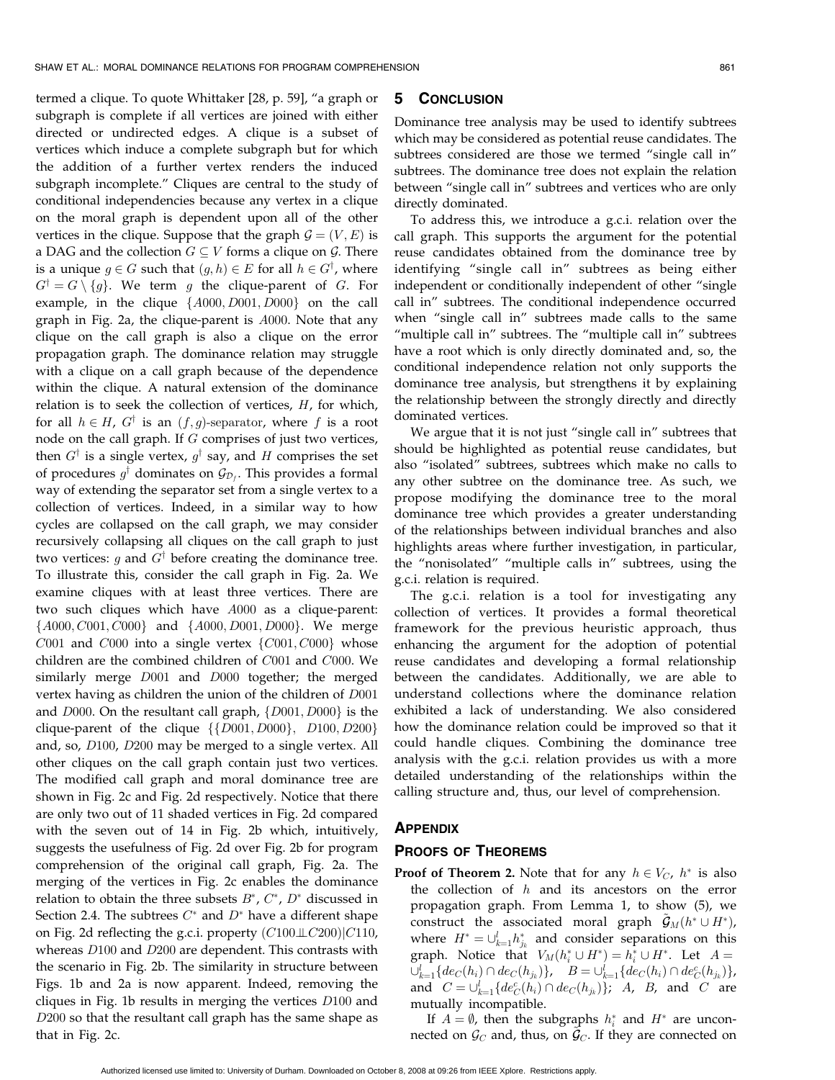termed a clique. To quote Whittaker [28, p. 59], "a graph or subgraph is complete if all vertices are joined with either directed or undirected edges. A clique is a subset of vertices which induce a complete subgraph but for which the addition of a further vertex renders the induced subgraph incomplete." Cliques are central to the study of conditional independencies because any vertex in a clique on the moral graph is dependent upon all of the other vertices in the clique. Suppose that the graph  $G = (V, E)$  is a DAG and the collection  $G \subseteq V$  forms a clique on  $\mathcal{G}$ . There is a unique  $g \in G$  such that  $(g, h) \in E$  for all  $h \in G^{\dagger}$ , where  $G^{\dagger} = G \setminus \{g\}$ . We term g the clique-parent of G. For example, in the clique  $\{A000, D001, D000\}$  on the call graph in Fig. 2a, the clique-parent is A000. Note that any clique on the call graph is also a clique on the error propagation graph. The dominance relation may struggle with a clique on a call graph because of the dependence within the clique. A natural extension of the dominance relation is to seek the collection of vertices,  $H$ , for which, for all  $h \in H$ ,  $G^{\dagger}$  is an  $(f,g)$ -separator, where f is a root node on the call graph. If  $G$  comprises of just two vertices, then  $G^{\dagger}$  is a single vertex,  $g^{\dagger}$  say, and H comprises the set of procedures  $g^{\dagger}$  dominates on  $\mathcal{G}_{\mathcal{D}_f}$ . This provides a formal way of extending the separator set from a single vertex to a collection of vertices. Indeed, in a similar way to how cycles are collapsed on the call graph, we may consider recursively collapsing all cliques on the call graph to just two vertices: g and  $G^{\dagger}$  before creating the dominance tree. To illustrate this, consider the call graph in Fig. 2a. We examine cliques with at least three vertices. There are two such cliques which have A000 as a clique-parent:  $\{A000, C001, C000\}$  and  $\{A000, D001, D000\}$ . We merge  $C001$  and  $C000$  into a single vertex  $\{C001, C000\}$  whose children are the combined children of C001 and C000. We similarly merge  $D001$  and  $D000$  together; the merged vertex having as children the union of the children of D001 and  $D000$ . On the resultant call graph,  $\{D001, D000\}$  is the clique-parent of the clique  $\{\{D001, D000\}, D100, D200\}$ and, so, D100, D200 may be merged to a single vertex. All other cliques on the call graph contain just two vertices. The modified call graph and moral dominance tree are shown in Fig. 2c and Fig. 2d respectively. Notice that there are only two out of 11 shaded vertices in Fig. 2d compared with the seven out of 14 in Fig. 2b which, intuitively, suggests the usefulness of Fig. 2d over Fig. 2b for program comprehension of the original call graph, Fig. 2a. The merging of the vertices in Fig. 2c enables the dominance relation to obtain the three subsets  $B^*$ ,  $C^*$ ,  $D^*$  discussed in Section 2.4. The subtrees  $C^*$  and  $D^*$  have a different shape on Fig. 2d reflecting the g.c.i. property  $(C100 \perp C200)|C110$ , whereas  $D100$  and  $D200$  are dependent. This contrasts with the scenario in Fig. 2b. The similarity in structure between Figs. 1b and 2a is now apparent. Indeed, removing the cliques in Fig. 1b results in merging the vertices D100 and D200 so that the resultant call graph has the same shape as that in Fig. 2c.

## 5 CONCLUSION

Dominance tree analysis may be used to identify subtrees which may be considered as potential reuse candidates. The subtrees considered are those we termed "single call in" subtrees. The dominance tree does not explain the relation between "single call in" subtrees and vertices who are only directly dominated.

To address this, we introduce a g.c.i. relation over the call graph. This supports the argument for the potential reuse candidates obtained from the dominance tree by identifying "single call in" subtrees as being either independent or conditionally independent of other "single call in" subtrees. The conditional independence occurred when "single call in" subtrees made calls to the same "multiple call in" subtrees. The "multiple call in" subtrees have a root which is only directly dominated and, so, the conditional independence relation not only supports the dominance tree analysis, but strengthens it by explaining the relationship between the strongly directly and directly dominated vertices.

We argue that it is not just "single call in" subtrees that should be highlighted as potential reuse candidates, but also "isolated" subtrees, subtrees which make no calls to any other subtree on the dominance tree. As such, we propose modifying the dominance tree to the moral dominance tree which provides a greater understanding of the relationships between individual branches and also highlights areas where further investigation, in particular, the "nonisolated" "multiple calls in" subtrees, using the g.c.i. relation is required.

The g.c.i. relation is a tool for investigating any collection of vertices. It provides a formal theoretical framework for the previous heuristic approach, thus enhancing the argument for the adoption of potential reuse candidates and developing a formal relationship between the candidates. Additionally, we are able to understand collections where the dominance relation exhibited a lack of understanding. We also considered how the dominance relation could be improved so that it could handle cliques. Combining the dominance tree analysis with the g.c.i. relation provides us with a more detailed understanding of the relationships within the calling structure and, thus, our level of comprehension.

## **APPENDIX**

#### PROOFS OF THEOREMS

**Proof of Theorem 2.** Note that for any  $h \in V_C$ ,  $h^*$  is also the collection of  $h$  and its ancestors on the error propagation graph. From Lemma 1, to show (5), we construct the associated moral graph  $\mathcal{G}_M(h^* \cup H^*)$ , where  $H^* = \bigcup_{k=1}^l h_{j_k}^*$  and consider separations on this graph. Notice that  $V_M(h_i^* \cup H^*) = h_i^* \cup H^*$ . Let  $A =$  $\cup_{k=1}^{l} \{de_C(h_i) \cap de_C(h_{j_k})\}, \quad B = \cup_{k=1}^{l} \{de_C(h_i) \cap de_C^{c}(h_{j_k})\},$ and  $C = \bigcup_{k=1}^{l} \{de_C^c(h_i) \cap de_C(h_{j_k})\};$  A, B, and C are mutually incompatible.

If  $A = \emptyset$ , then the subgraphs  $h_i^*$  and  $H^*$  are unconnected on  $\mathcal{G}_C$  and, thus, on  $\tilde{\mathcal{G}}_C$ . If they are connected on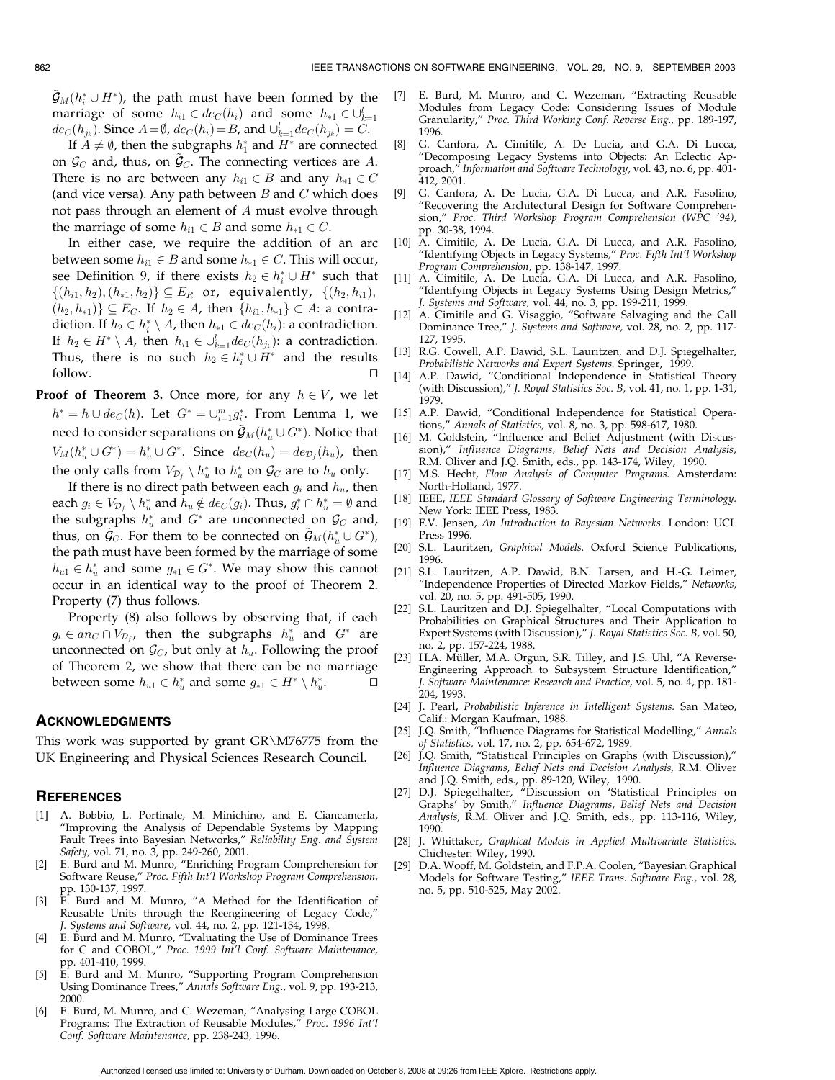$\tilde{\mathcal{G}}_{M}(h_i^* \cup H^*)$ , the path must have been formed by the marriage of some  $h_{i1} \in de_C(h_i)$  and some  $h_{*1} \in \bigcup_{k=1}^l$  $dec(h_{j_k})$ . Since  $A = \emptyset$ ,  $de_C(h_i) = B$ , and  $\cup_{k=1}^l de_C(h_{j_k}) = C$ .

If  $A \neq \emptyset$ , then the subgraphs  $h_1^*$  and  $H^*$  are connected on  $\mathcal{G}_C$  and, thus, on  $\mathcal{G}_C$ . The connecting vertices are A. There is no arc between any  $h_{i1} \in B$  and any  $h_{*1} \in C$ (and vice versa). Any path between  $B$  and  $C$  which does not pass through an element of A must evolve through the marriage of some  $h_{i1} \in B$  and some  $h_{*1} \in C$ .

In either case, we require the addition of an arc between some  $h_{i1} \in B$  and some  $h_{*1} \in C$ . This will occur, see Definition 9, if there exists  $h_2 \in h_i^* \cup H^*$  such that  $\{(h_{i1}, h_2), (h_{*1}, h_2)\}\subseteq E_R$  or, equivalently,  $\{(h_2, h_{i1}),$  $(h_2, h_{*1})\}\subseteq E_C$ . If  $h_2 \in A$ , then  $\{h_{i1}, h_{*1}\}\subset A$ : a contradiction. If  $h_2 \in h_i^* \setminus A$ , then  $h_{*1} \in de_C(h_i)$ : a contradiction. If  $h_2 \in H^* \setminus A$ , then  $h_{i1} \in \bigcup_{k=1}^l dec(h_{j_k})$ : a contradiction. Thus, there is no such  $h_2 \in h_i^* \cup H^*$  and the results follow.  $\Box$ 

# **Proof of Theorem 3.** Once more, for any  $h \in V$ , we let  $h^* = h \cup de_C(h)$ . Let  $G^* = \bigcup_{i=1}^m g_i^*$ . From Lemma 1, we need to consider separations on  $\tilde{\mathcal{G}}_{M}(h_{u}^{\ast }\cup G^{\ast }).$  Notice that  $V_M(h_u^* \cup G^*) = h_u^* \cup G^*$ . Since  $de_C(h_u) = de_{\mathcal{D}_f}(h_u)$ , then

the only calls from  $V_{\mathcal{D}_f} \setminus h_u^*$  to  $h_u^*$  on  $\mathcal{G}_C$  are to  $h_u$  only. If there is no direct path between each  $g_i$  and  $h_u$ , then each  $g_i \in V_{\mathcal{D}_f} \setminus h_u^*$  and  $h_u \notin dec(g_i)$ . Thus,  $g_i^* \cap h_u^* = \emptyset$  and the subgraphs  $h_u^*$  and  $G^*$  are unconnected on  $\mathcal{G}_C$  and, thus, on  $\tilde{g}_C$ . For them to be connected on  $\tilde{g}_M(h_u^* \cup G^*)$ , the path must have been formed by the marriage of some  $h_{u1} \in h_u^*$  and some  $g_{*1} \in G^*$ . We may show this cannot occur in an identical way to the proof of Theorem 2. Property (7) thus follows.

Property (8) also follows by observing that, if each  $g_i \in an_C \cap V_{\mathcal{D}_f}$ , then the subgraphs  $h_u^*$  and  $G^*$  are unconnected on  $\mathcal{G}_C$ , but only at  $h_u$ . Following the proof of Theorem 2, we show that there can be no marriage between some  $h_{u1} \in h_u^*$  and some  $g_{*1} \in H^* \setminus h_u^*$ .

#### ACKNOWLEDGMENTS

This work was supported by grant GR\M76775 from the UK Engineering and Physical Sciences Research Council.

#### **REFERENCES**

- [1] A. Bobbio, L. Portinale, M. Minichino, and E. Ciancamerla, "Improving the Analysis of Dependable Systems by Mapping Fault Trees into Bayesian Networks," Reliability Eng. and System Safety, vol. 71, no. 3, pp. 249-260, 2001.
- [2] E. Burd and M. Munro, "Enriching Program Comprehension for Software Reuse," Proc. Fifth Int'l Workshop Program Comprehension, pp. 130-137, 1997.
- [3] E. Burd and M. Munro, "A Method for the Identification of Reusable Units through the Reengineering of Legacy Code," J. Systems and Software, vol. 44, no. 2, pp. 121-134, 1998.
- [4] E. Burd and M. Munro, "Evaluating the Use of Dominance Trees for C and COBOL," Proc. 1999 Int'l Conf. Software Maintenance, pp. 401-410, 1999.
- [5] E. Burd and M. Munro, "Supporting Program Comprehension Using Dominance Trees," Annals Software Eng., vol. 9, pp. 193-213, 2000.
- [6] E. Burd, M. Munro, and C. Wezeman, "Analysing Large COBOL Programs: The Extraction of Reusable Modules," Proc. 1996 Int'l Conf. Software Maintenance, pp. 238-243, 1996.
- [7] E. Burd, M. Munro, and C. Wezeman, "Extracting Reusable Modules from Legacy Code: Considering Issues of Module Granularity," Proc. Third Working Conf. Reverse Eng., pp. 189-197, 1996.
- [8] G. Canfora, A. Cimitile, A. De Lucia, and G.A. Di Lucca, "Decomposing Legacy Systems into Objects: An Eclectic Approach," Information and Software Technology, vol. 43, no. 6, pp. 401- 412, 2001.
- [9] G. Canfora, A. De Lucia, G.A. Di Lucca, and A.R. Fasolino, "Recovering the Architectural Design for Software Comprehension," Proc. Third Workshop Program Comprehension (WPC '94), pp. 30-38, 1994.
- [10] A. Cimitile, A. De Lucia, G.A. Di Lucca, and A.R. Fasolino, "Identifying Objects in Legacy Systems," Proc. Fifth Int'l Workshop Program Comprehension, pp. 138-147, 1997.
- [11] A. Cimitile, A. De Lucia, G.A. Di Lucca, and A.R. Fasolino, "Identifying Objects in Legacy Systems Using Design Metrics," J. Systems and Software, vol. 44, no. 3, pp. 199-211, 1999.
- [12] A. Cimitile and G. Visaggio, "Software Salvaging and the Call Dominance Tree," J. Systems and Software, vol. 28, no. 2, pp. 117- 127, 1995.
- [13] R.G. Cowell, A.P. Dawid, S.L. Lauritzen, and D.J. Spiegelhalter, Probabilistic Networks and Expert Systems. Springer, 1999.
- [14] A.P. Dawid, "Conditional Independence in Statistical Theory (with Discussion)," J. Royal Statistics Soc. B, vol. 41, no. 1, pp. 1-31, 1979.
- [15] A.P. Dawid, "Conditional Independence for Statistical Operations," Annals of Statistics, vol. 8, no. 3, pp. 598-617, 1980.
- [16] M. Goldstein, "Influence and Belief Adjustment (with Discussion)," Influence Diagrams, Belief Nets and Decision Analysis, R.M. Oliver and J.Q. Smith, eds., pp. 143-174, Wiley, 1990.
- [17] M.S. Hecht, Flow Analysis of Computer Programs. Amsterdam: North-Holland, 1977.
- [18] IEEE, IEEE Standard Glossary of Software Engineering Terminology. New York: IEEE Press, 1983.
- [19] F.V. Jensen, An Introduction to Bayesian Networks. London: UCL Press 1996.
- [20] S.L. Lauritzen, Graphical Models. Oxford Science Publications, 1996.
- [21] S.L. Lauritzen, A.P. Dawid, B.N. Larsen, and H.-G. Leimer, "Independence Properties of Directed Markov Fields," Networks, vol. 20, no. 5, pp. 491-505, 1990.
- [22] S.L. Lauritzen and D.J. Spiegelhalter, "Local Computations with Probabilities on Graphical Structures and Their Application to Expert Systems (with Discussion)," J. Royal Statistics Soc. B, vol. 50, no. 2, pp. 157-224, 1988.
- [23] H.A. Müller, M.A. Orgun, S.R. Tilley, and J.S. Uhl, "A Reverse-Engineering Approach to Subsystem Structure Identification," J. Software Maintenance: Research and Practice, vol. 5, no. 4, pp. 181- 204, 1993.
- [24] J. Pearl, Probabilistic Inference in Intelligent Systems. San Mateo, Calif.: Morgan Kaufman, 1988.
- [25] J.Q. Smith, "Influence Diagrams for Statistical Modelling," Annals of Statistics, vol. 17, no. 2, pp. 654-672, 1989.
- [26] J.Q. Smith, "Statistical Principles on Graphs (with Discussion)," Influence Diagrams, Belief Nets and Decision Analysis, R.M. Oliver and J.Q. Smith, eds., pp. 89-120, Wiley, 1990.
- [27] D.J. Spiegelhalter, "Discussion on 'Statistical Principles on Graphs' by Smith," Influence Diagrams, Belief Nets and Decision Analysis, R.M. Oliver and J.Q. Smith, eds., pp. 113-116, Wiley, 1990.
- [28] J. Whittaker, Graphical Models in Applied Multivariate Statistics. Chichester: Wiley, 1990.
- [29] D.A. Wooff, M. Goldstein, and F.P.A. Coolen, "Bayesian Graphical Models for Software Testing," IEEE Trans. Software Eng., vol. 28, no. 5, pp. 510-525, May 2002.